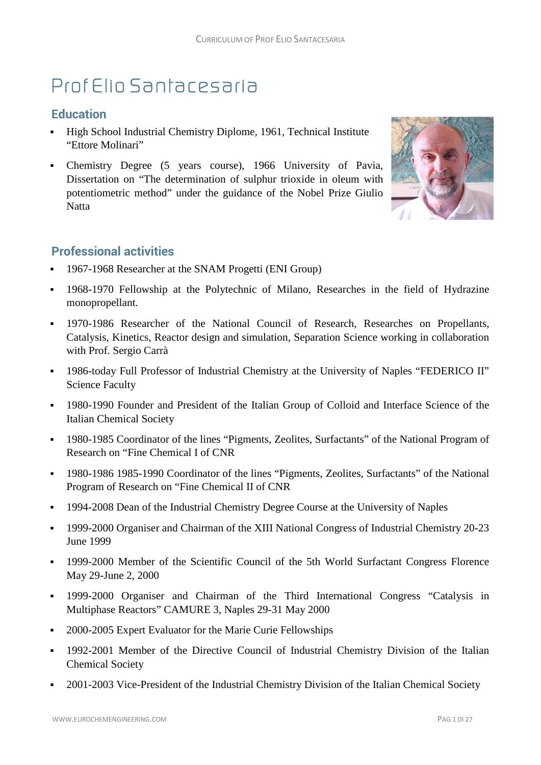# Prof Elio Santacesaria

#### **Education**

- High School Industrial Chemistry Diplome, 1961, Technical Institute "Ettore Molinari"
- Chemistry Degree (5 years course), 1966 University of Pavia, Dissertation on "The determination of sulphur trioxide in oleum with potentiometric method" under the guidance of the Nobel Prize Giulio Natta



## **Professional activities**

- 1967-1968 Researcher at the SNAM Progetti (ENI Group)
- 1968-1970 Fellowship at the Polytechnic of Milano, Researches in the field of Hydrazine monopropellant.
- 1970-1986 Researcher of the National Council of Research, Researches on Propellants, Catalysis, Kinetics, Reactor design and simulation, Separation Science working in collaboration with Prof. Sergio Carrà
- 1986-today Full Professor of Industrial Chemistry at the University of Naples "FEDERICO II" Science Faculty
- 1980-1990 Founder and President of the Italian Group of Colloid and Interface Science of the Italian Chemical Society
- <sup>1980-1985</sup> Coordinator of the lines "Pigments, Zeolites, Surfactants" of the National Program of Research on "Fine Chemical I of CNR
- 1980-1986 1985-1990 Coordinator of the lines "Pigments, Zeolites, Surfactants" of the National Program of Research on "Fine Chemical II of CNR
- 1994-2008 Dean of the Industrial Chemistry Degree Course at the University of Naples
- <sup>1999-2000</sup> Organiser and Chairman of the XIII National Congress of Industrial Chemistry 20-23 June 1999
- 1999-2000 Member of the Scientific Council of the 5th World Surfactant Congress Florence May 29-June 2, 2000
- 1999-2000 Organiser and Chairman of the Third International Congress "Catalysis in Multiphase Reactors" CAMURE 3, Naples 29-31 May 2000
- 2000-2005 Expert Evaluator for the Marie Curie Fellowships
- 1992-2001 Member of the Directive Council of Industrial Chemistry Division of the Italian Chemical Society
- 2001-2003 Vice-President of the Industrial Chemistry Division of the Italian Chemical Society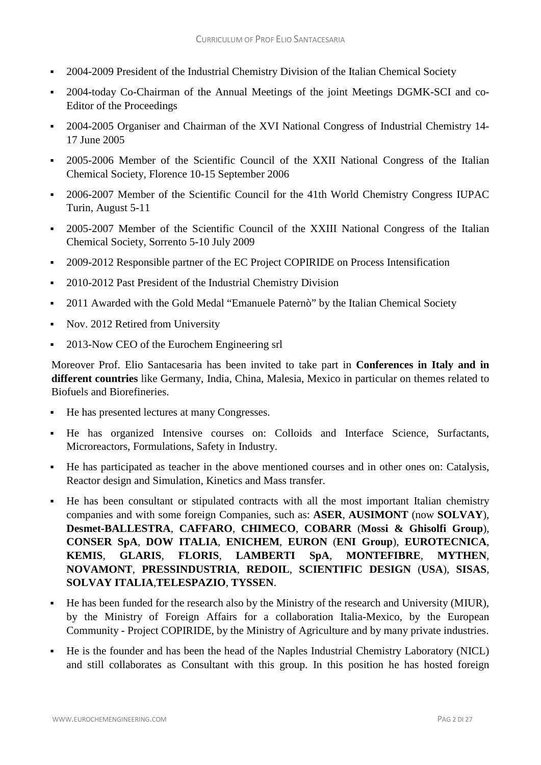- 2004-2009 President of the Industrial Chemistry Division of the Italian Chemical Society
- 2004-today Co-Chairman of the Annual Meetings of the joint Meetings DGMK-SCI and co-Editor of the Proceedings
- <sup>2004-2005</sup> Organiser and Chairman of the XVI National Congress of Industrial Chemistry 14-17 June 2005
- 2005-2006 Member of the Scientific Council of the XXII National Congress of the Italian Chemical Society, Florence 10-15 September 2006
- <sup>•</sup> 2006-2007 Member of the Scientific Council for the 41th World Chemistry Congress IUPAC Turin, August 5-11
- <sup>2005-2007</sup> Member of the Scientific Council of the XXIII National Congress of the Italian Chemical Society, Sorrento 5-10 July 2009
- <sup>2009-2012</sup> Responsible partner of the EC Project COPIRIDE on Process Intensification
- <sup>2010-2012</sup> Past President of the Industrial Chemistry Division
- <sup>•</sup> 2011 Awarded with the Gold Medal "Emanuele Paternò" by the Italian Chemical Society
- Nov. 2012 Retired from University
- <sup>2013-Now CEO</sup> of the Eurochem Engineering srl

Moreover Prof. Elio Santacesaria has been invited to take part in **Conferences in Italy and in different countries** like Germany, India, China, Malesia, Mexico in particular on themes related to Biofuels and Biorefineries.

- He has presented lectures at many Congresses.
- He has organized Intensive courses on: Colloids and Interface Science, Surfactants, Microreactors, Formulations, Safety in Industry.
- He has participated as teacher in the above mentioned courses and in other ones on: Catalysis, Reactor design and Simulation, Kinetics and Mass transfer.
- He has been consultant or stipulated contracts with all the most important Italian chemistry companies and with some foreign Companies, such as: **ASER**, **AUSIMONT** (now **SOLVAY**), **Desmet-BALLESTRA**, **CAFFARO**, **CHIMECO**, **COBARR** (**Mossi & Ghisolfi Group**), **CONSER SpA**, **DOW ITALIA**, **ENICHEM**, **EURON** (**ENI Group**), **EUROTECNICA**, **KEMIS**, **GLARIS**, **FLORIS**, **LAMBERTI SpA**, **MONTEFIBRE**, **MYTHEN**, **NOVAMONT**, **PRESSINDUSTRIA**, **REDOIL**, **SCIENTIFIC DESIGN** (**USA**), **SISAS**, **SOLVAY ITALIA**,**TELESPAZIO**, **TYSSEN**.
- He has been funded for the research also by the Ministry of the research and University (MIUR), by the Ministry of Foreign Affairs for a collaboration Italia-Mexico, by the European Community - Project COPIRIDE, by the Ministry of Agriculture and by many private industries.
- He is the founder and has been the head of the Naples Industrial Chemistry Laboratory (NICL) and still collaborates as Consultant with this group. In this position he has hosted foreign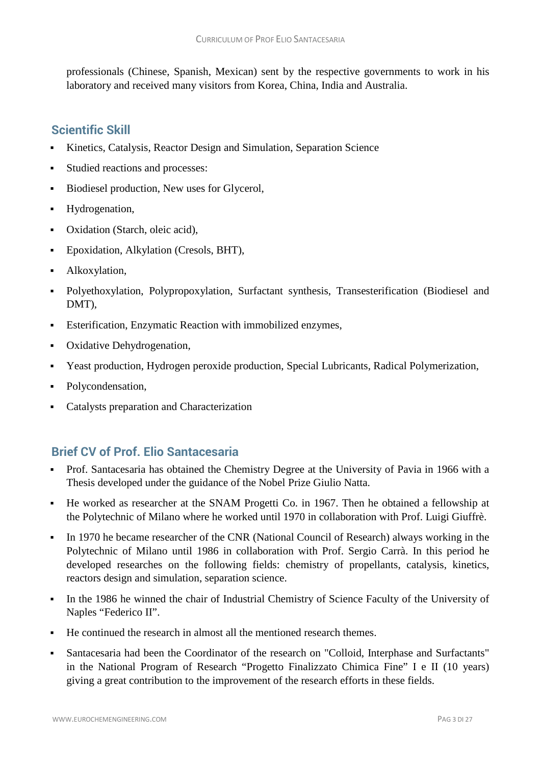professionals (Chinese, Spanish, Mexican) sent by the respective governments to work in his laboratory and received many visitors from Korea, China, India and Australia.

## **Scientific Skill**

- Kinetics, Catalysis, Reactor Design and Simulation, Separation Science
- Studied reactions and processes:
- Biodiesel production, New uses for Glycerol,
- Hydrogenation,
- Oxidation (Starch, oleic acid),
- Epoxidation, Alkylation (Cresols, BHT),
- Alkoxylation,
- Polyethoxylation, Polypropoxylation, Surfactant synthesis, Transesterification (Biodiesel and DMT),
- Esterification, Enzymatic Reaction with immobilized enzymes,
- Oxidative Dehydrogenation,
- Yeast production, Hydrogen peroxide production, Special Lubricants, Radical Polymerization,
- Polycondensation,
- Catalysts preparation and Characterization

# **Brief CV of Prof. Elio Santacesaria**

- Prof. Santacesaria has obtained the Chemistry Degree at the University of Pavia in 1966 with a Thesis developed under the guidance of the Nobel Prize Giulio Natta.
- He worked as researcher at the SNAM Progetti Co. in 1967. Then he obtained a fellowship at the Polytechnic of Milano where he worked until 1970 in collaboration with Prof. Luigi Giuffrè.
- In 1970 he became researcher of the CNR (National Council of Research) always working in the Polytechnic of Milano until 1986 in collaboration with Prof. Sergio Carrà. In this period he developed researches on the following fields: chemistry of propellants, catalysis, kinetics, reactors design and simulation, separation science.
- In the 1986 he winned the chair of Industrial Chemistry of Science Faculty of the University of Naples "Federico II".
- He continued the research in almost all the mentioned research themes.
- Santacesaria had been the Coordinator of the research on "Colloid, Interphase and Surfactants" in the National Program of Research "Progetto Finalizzato Chimica Fine" I e II (10 years) giving a great contribution to the improvement of the research efforts in these fields.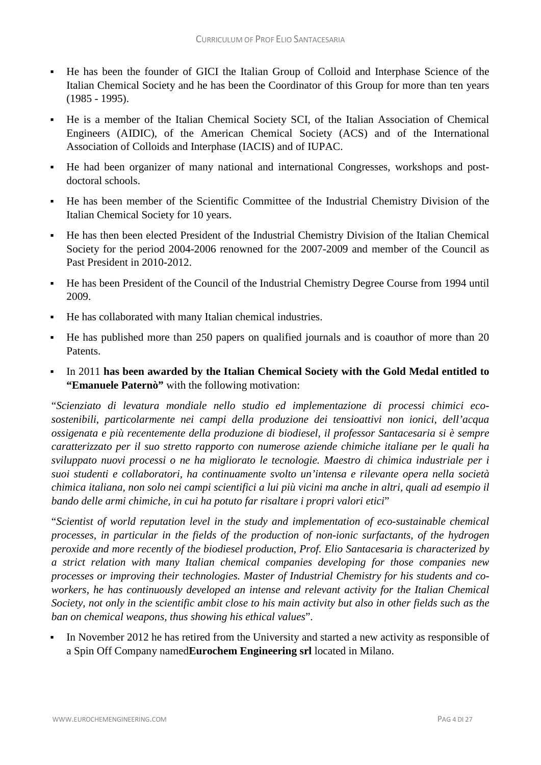- He has been the founder of GICI the Italian Group of Colloid and Interphase Science of the Italian Chemical Society and he has been the Coordinator of this Group for more than ten years (1985 - 1995).
- He is a member of the Italian Chemical Society SCI, of the Italian Association of Chemical Engineers (AIDIC), of the American Chemical Society (ACS) and of the International Association of Colloids and Interphase (IACIS) and of IUPAC.
- He had been organizer of many national and international Congresses, workshops and postdoctoral schools.
- He has been member of the Scientific Committee of the Industrial Chemistry Division of the Italian Chemical Society for 10 years.
- He has then been elected President of the Industrial Chemistry Division of the Italian Chemical Society for the period 2004-2006 renowned for the 2007-2009 and member of the Council as Past President in 2010-2012.
- He has been President of the Council of the Industrial Chemistry Degree Course from 1994 until 2009.
- He has collaborated with many Italian chemical industries.
- He has published more than 250 papers on qualified journals and is coauthor of more than 20 Patents.
- In 2011 **has been awarded by the Italian Chemical Society with the Gold Medal entitled to "Emanuele Paternò"** with the following motivation:

"*Scienziato di levatura mondiale nello studio ed implementazione di processi chimici ecosostenibili, particolarmente nei campi della produzione dei tensioattivi non ionici, dell'acqua ossigenata e più recentemente della produzione di biodiesel, il professor Santacesaria si è sempre caratterizzato per il suo stretto rapporto con numerose aziende chimiche italiane per le quali ha sviluppato nuovi processi o ne ha migliorato le tecnologie. Maestro di chimica industriale per i suoi studenti e collaboratori, ha continuamente svolto un'intensa e rilevante opera nella società* chimica italiana, non solo nei campi scientifici a lui più vicini ma anche in altri, quali ad esempio il *bando delle armi chimiche, in cui ha potuto far risaltare i propri valori etici*"

"*Scientist of world reputation level in the study and implementation of eco-sustainable chemical processes, in particular in the fields of the production of non-ionic surfactants, of the hydrogen peroxide and more recently of the biodiesel production, Prof. Elio Santacesaria is characterized by a strict relation with many Italian chemical companies developing for those companies new processes or improving their technologies. Master of Industrial Chemistry for his students and coworkers, he has continuously developed an intense and relevant activity for the Italian Chemical* Society, not only in the scientific ambit close to his main activity but also in other fields such as the *ban on chemical weapons, thus showing his ethical values*".

 In November 2012 he has retired from the University and started a new activity as responsible of a Spin Off Company named**Eurochem Engineering srl** located in Milano.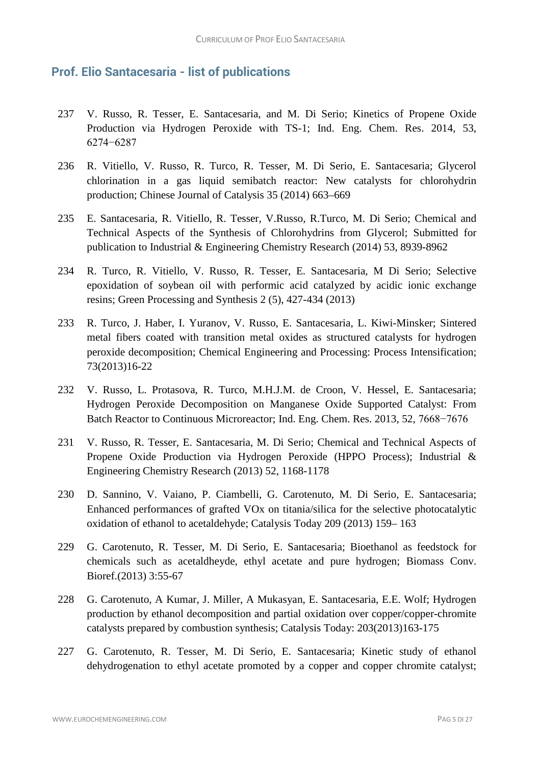#### **Prof. Elio Santacesaria - list of publications**

- 237 V. Russo, R. Tesser, E. Santacesaria, and M. Di Serio; Kinetics of Propene Oxide Production via Hydrogen Peroxide with TS-1; Ind. Eng. Chem. Res. 2014, 53, 6274−6287
- 236 R. Vitiello, V. Russo, R. Turco, R. Tesser, M. Di Serio, E. Santacesaria; Glycerol chlorination in a gas liquid semibatch reactor: New catalysts for chlorohydrin production; Chinese Journal of Catalysis 35 (2014) 663–669
- 235 E. Santacesaria, R. Vitiello, R. Tesser, V.Russo, R.Turco, M. Di Serio; Chemical and Technical Aspects of the Synthesis of Chlorohydrins from Glycerol; Submitted for publication to Industrial & Engineering Chemistry Research (2014) 53, 8939-8962
- 234 R. Turco, R. Vitiello, V. Russo, R. Tesser, E. Santacesaria, M Di Serio; Selective epoxidation of soybean oil with performic acid catalyzed by acidic ionic exchange resins; Green Processing and Synthesis 2 (5), 427-434 (2013)
- 233 R. Turco, J. Haber, I. Yuranov, V. Russo, E. Santacesaria, L. Kiwi-Minsker; Sintered metal fibers coated with transition metal oxides as structured catalysts for hydrogen peroxide decomposition; Chemical Engineering and Processing: Process Intensification; 73(2013)16-22
- 232 V. Russo, L. Protasova, R. Turco, M.H.J.M. de Croon, V. Hessel, E. Santacesaria; Hydrogen Peroxide Decomposition on Manganese Oxide Supported Catalyst: From Batch Reactor to Continuous Microreactor; Ind. Eng. Chem. Res. 2013, 52, 7668−7676
- 231 V. Russo, R. Tesser, E. Santacesaria, M. Di Serio; Chemical and Technical Aspects of Propene Oxide Production via Hydrogen Peroxide (HPPO Process); Industrial & Engineering Chemistry Research (2013) 52, 1168-1178
- 230 D. Sannino, V. Vaiano, P. Ciambelli, G. Carotenuto, M. Di Serio, E. Santacesaria; Enhanced performances of grafted VOx on titania/silica for the selective photocatalytic oxidation of ethanol to acetaldehyde; Catalysis Today 209 (2013) 159– 163
- 229 G. Carotenuto, R. Tesser, M. Di Serio, E. Santacesaria; Bioethanol as feedstock for chemicals such as acetaldheyde, ethyl acetate and pure hydrogen; Biomass Conv. Bioref.(2013) 3:55-67
- 228 G. Carotenuto, A Kumar, J. Miller, A Mukasyan, E. Santacesaria, E.E. Wolf; Hydrogen production by ethanol decomposition and partial oxidation over copper/copper-chromite catalysts prepared by combustion synthesis; Catalysis Today: 203(2013)163-175
- 227 G. Carotenuto, R. Tesser, M. Di Serio, E. Santacesaria; Kinetic study of ethanol dehydrogenation to ethyl acetate promoted by a copper and copper chromite catalyst;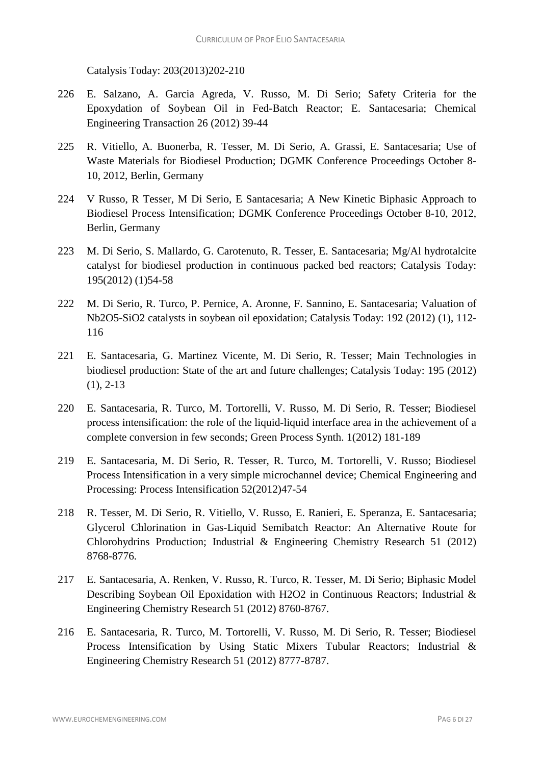Catalysis Today: 203(2013)202-210

- 226 E. Salzano, A. Garcia Agreda, V. Russo, M. Di Serio; Safety Criteria for the Epoxydation of Soybean Oil in Fed-Batch Reactor; E. Santacesaria; Chemical Engineering Transaction 26 (2012) 39-44
- 225 R. Vitiello, A. Buonerba, R. Tesser, M. Di Serio, A. Grassi, E. Santacesaria; Use of Waste Materials for Biodiesel Production; DGMK Conference Proceedings October 8- 10, 2012, Berlin, Germany
- 224 V Russo, R Tesser, M Di Serio, E Santacesaria; A New Kinetic Biphasic Approach to Biodiesel Process Intensification; DGMK Conference Proceedings October 8-10, 2012, Berlin, Germany
- 223 M. Di Serio, S. Mallardo, G. Carotenuto, R. Tesser, E. Santacesaria; Mg/Al hydrotalcite catalyst for biodiesel production in continuous packed bed reactors; Catalysis Today: 195(2012) (1)54-58
- 222 M. Di Serio, R. Turco, P. Pernice, A. Aronne, F. Sannino, E. Santacesaria; Valuation of Nb2O5-SiO2 catalysts in soybean oil epoxidation; Catalysis Today: 192 (2012) (1), 112- 116
- 221 E. Santacesaria, G. Martinez Vicente, M. Di Serio, R. Tesser; Main Technologies in biodiesel production: State of the art and future challenges; Catalysis Today: 195 (2012) (1), 2-13
- 220 E. Santacesaria, R. Turco, M. Tortorelli, V. Russo, M. Di Serio, R. Tesser; Biodiesel process intensification: the role of the liquid-liquid interface area in the achievement of a complete conversion in few seconds; Green Process Synth. 1(2012) 181-189
- 219 E. Santacesaria, M. Di Serio, R. Tesser, R. Turco, M. Tortorelli, V. Russo; Biodiesel Process Intensification in a very simple microchannel device; Chemical Engineering and Processing: Process Intensification 52(2012)47-54
- 218 R. Tesser, M. Di Serio, R. Vitiello, V. Russo, E. Ranieri, E. Speranza, E. Santacesaria; Glycerol Chlorination in Gas-Liquid Semibatch Reactor: An Alternative Route for Chlorohydrins Production; Industrial & Engineering Chemistry Research 51 (2012) 8768-8776.
- 217 E. Santacesaria, A. Renken, V. Russo, R. Turco, R. Tesser, M. Di Serio; Biphasic Model Describing Soybean Oil Epoxidation with H2O2 in Continuous Reactors; Industrial & Engineering Chemistry Research 51 (2012) 8760-8767.
- 216 E. Santacesaria, R. Turco, M. Tortorelli, V. Russo, M. Di Serio, R. Tesser; Biodiesel Process Intensification by Using Static Mixers Tubular Reactors; Industrial & Engineering Chemistry Research 51 (2012) 8777-8787.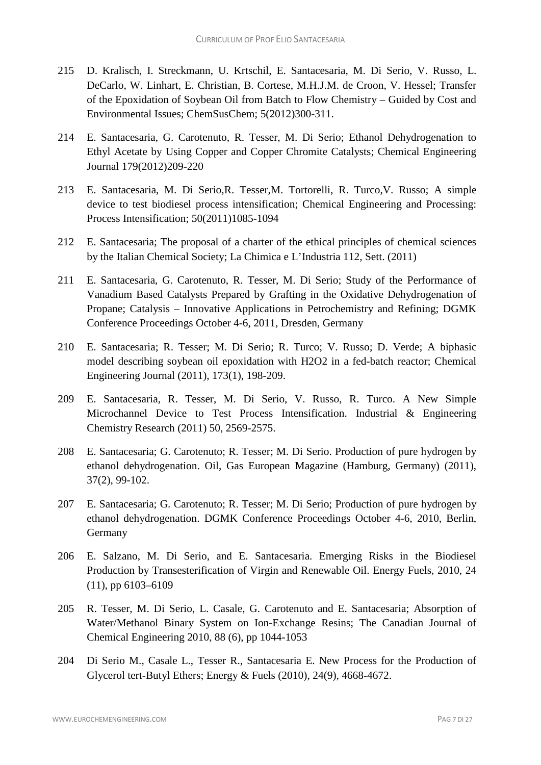- 215 D. Kralisch, I. Streckmann, U. Krtschil, E. Santacesaria, M. Di Serio, V. Russo, L. DeCarlo, W. Linhart, E. Christian, B. Cortese, M.H.J.M. de Croon, V. Hessel; Transfer of the Epoxidation of Soybean Oil from Batch to Flow Chemistry – Guided by Cost and Environmental Issues; ChemSusChem; 5(2012)300-311.
- 214 E. Santacesaria, G. Carotenuto, R. Tesser, M. Di Serio; Ethanol Dehydrogenation to Ethyl Acetate by Using Copper and Copper Chromite Catalysts; Chemical Engineering Journal 179(2012)209-220
- 213 E. Santacesaria, M. Di Serio,R. Tesser,M. Tortorelli, R. Turco,V. Russo; A simple device to test biodiesel process intensification; Chemical Engineering and Processing: Process Intensification; 50(2011)1085-1094
- 212 E. Santacesaria; The proposal of a charter of the ethical principles of chemical sciences by the Italian Chemical Society; La Chimica e L'Industria 112, Sett. (2011)
- 211 E. Santacesaria, G. Carotenuto, R. Tesser, M. Di Serio; Study of the Performance of Vanadium Based Catalysts Prepared by Grafting in the Oxidative Dehydrogenation of Propane; Catalysis – Innovative Applications in Petrochemistry and Refining; DGMK Conference Proceedings October 4-6, 2011, Dresden, Germany
- 210 E. Santacesaria; R. Tesser; M. Di Serio; R. Turco; V. Russo; D. Verde; A biphasic model describing soybean oil epoxidation with H2O2 in a fed-batch reactor; Chemical Engineering Journal (2011), 173(1), 198-209.
- 209 E. Santacesaria, R. Tesser, M. Di Serio, V. Russo, R. Turco. A New Simple Microchannel Device to Test Process Intensification. Industrial & Engineering Chemistry Research (2011) 50, 2569-2575.
- 208 E. Santacesaria; G. Carotenuto; R. Tesser; M. Di Serio. Production of pure hydrogen by ethanol dehydrogenation. Oil, Gas European Magazine (Hamburg, Germany) (2011), 37(2), 99-102.
- 207 E. Santacesaria; G. Carotenuto; R. Tesser; M. Di Serio; Production of pure hydrogen by ethanol dehydrogenation. DGMK Conference Proceedings October 4-6, 2010, Berlin, Germany
- 206 E. Salzano, M. Di Serio, and E. Santacesaria. Emerging Risks in the Biodiesel Production by Transesterification of Virgin and Renewable Oil. Energy Fuels, 2010, 24 (11), pp 6103–6109
- 205 R. Tesser, M. Di Serio, L. Casale, G. Carotenuto and E. Santacesaria; Absorption of Water/Methanol Binary System on Ion-Exchange Resins; The Canadian Journal of Chemical Engineering 2010, 88 (6), pp 1044-1053
- 204 Di Serio M., Casale L., Tesser R., Santacesaria E. New Process for the Production of Glycerol tert-Butyl Ethers; Energy & Fuels (2010), 24(9), 4668-4672.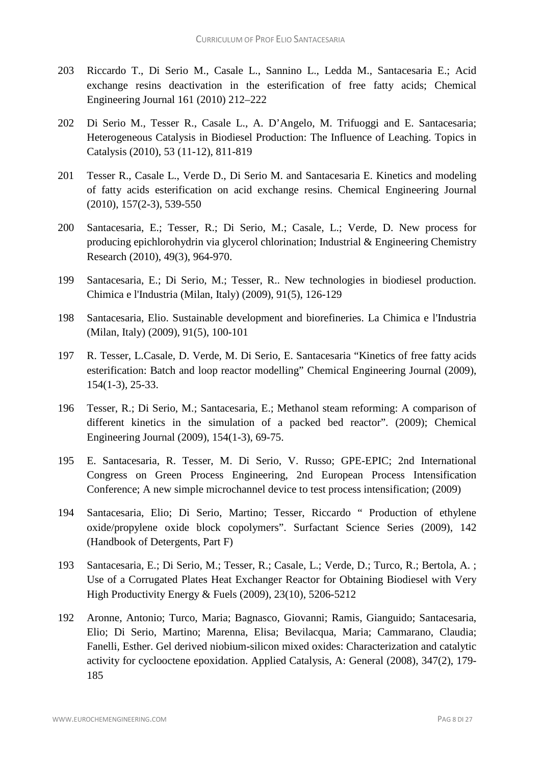- 203 Riccardo T., Di Serio M., Casale L., Sannino L., Ledda M., Santacesaria E.; Acid exchange resins deactivation in the esterification of free fatty acids; Chemical Engineering Journal 161 (2010) 212–222
- 202 Di Serio M., Tesser R., Casale L., A. D'Angelo, M. Trifuoggi and E. Santacesaria; Heterogeneous Catalysis in Biodiesel Production: The Influence of Leaching. Topics in Catalysis (2010), 53 (11-12), 811-819
- 201 Tesser R., Casale L., Verde D., Di Serio M. and Santacesaria E. Kinetics and modeling of fatty acids esterification on acid exchange resins. Chemical Engineering Journal (2010), 157(2-3), 539-550
- 200 Santacesaria, E.; Tesser, R.; Di Serio, M.; Casale, L.; Verde, D. New process for producing epichlorohydrin via glycerol chlorination; Industrial & Engineering Chemistry Research (2010), 49(3), 964-970.
- 199 Santacesaria, E.; Di Serio, M.; Tesser, R.. New technologies in biodiesel production. Chimica e l'Industria (Milan, Italy) (2009), 91(5), 126-129
- 198 Santacesaria, Elio. Sustainable development and biorefineries. La Chimica e l'Industria (Milan, Italy) (2009), 91(5), 100-101
- 197 R. Tesser, L.Casale, D. Verde, M. Di Serio, E. Santacesaria "Kinetics of free fatty acids esterification: Batch and loop reactor modelling" Chemical Engineering Journal (2009), 154(1-3), 25-33.
- 196 Tesser, R.; Di Serio, M.; Santacesaria, E.; Methanol steam reforming: A comparison of different kinetics in the simulation of a packed bed reactor". (2009); Chemical Engineering Journal (2009), 154(1-3), 69-75.
- 195 E. Santacesaria, R. Tesser, M. Di Serio, V. Russo; GPE-EPIC; 2nd International Congress on Green Process Engineering, 2nd European Process Intensification Conference; A new simple microchannel device to test process intensification; (2009)
- 194 Santacesaria, Elio; Di Serio, Martino; Tesser, Riccardo " Production of ethylene oxide/propylene oxide block copolymers". Surfactant Science Series (2009), 142 (Handbook of Detergents, Part F)
- 193 Santacesaria, E.; Di Serio, M.; Tesser, R.; Casale, L.; Verde, D.; Turco, R.; Bertola, A. ; Use of a Corrugated Plates Heat Exchanger Reactor for Obtaining Biodiesel with Very High Productivity Energy & Fuels (2009), 23(10), 5206-5212
- 192 Aronne, Antonio; Turco, Maria; Bagnasco, Giovanni; Ramis, Gianguido; Santacesaria, Elio; Di Serio, Martino; Marenna, Elisa; Bevilacqua, Maria; Cammarano, Claudia; Fanelli, Esther. Gel derived niobium-silicon mixed oxides: Characterization and catalytic activity for cyclooctene epoxidation. Applied Catalysis, A: General (2008), 347(2), 179- 185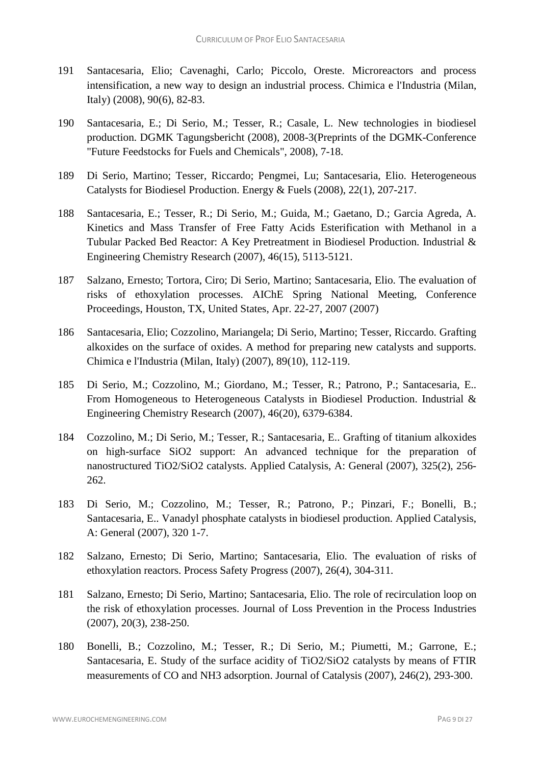- 191 Santacesaria, Elio; Cavenaghi, Carlo; Piccolo, Oreste. Microreactors and process intensification, a new way to design an industrial process. Chimica e l'Industria (Milan, Italy) (2008), 90(6), 82-83.
- 190 Santacesaria, E.; Di Serio, M.; Tesser, R.; Casale, L. New technologies in biodiesel production. DGMK Tagungsbericht (2008), 2008-3(Preprints of the DGMK-Conference "Future Feedstocks for Fuels and Chemicals", 2008), 7-18.
- 189 Di Serio, Martino; Tesser, Riccardo; Pengmei, Lu; Santacesaria, Elio. Heterogeneous Catalysts for Biodiesel Production. Energy & Fuels (2008), 22(1), 207-217.
- 188 Santacesaria, E.; Tesser, R.; Di Serio, M.; Guida, M.; Gaetano, D.; Garcia Agreda, A. Kinetics and Mass Transfer of Free Fatty Acids Esterification with Methanol in a Tubular Packed Bed Reactor: A Key Pretreatment in Biodiesel Production. Industrial & Engineering Chemistry Research (2007), 46(15), 5113-5121.
- 187 Salzano, Ernesto; Tortora, Ciro; Di Serio, Martino; Santacesaria, Elio. The evaluation of risks of ethoxylation processes. AIChE Spring National Meeting, Conference Proceedings, Houston, TX, United States, Apr. 22-27, 2007 (2007)
- 186 Santacesaria, Elio; Cozzolino, Mariangela; Di Serio, Martino; Tesser, Riccardo. Grafting alkoxides on the surface of oxides. A method for preparing new catalysts and supports. Chimica e l'Industria (Milan, Italy) (2007), 89(10), 112-119.
- 185 Di Serio, M.; Cozzolino, M.; Giordano, M.; Tesser, R.; Patrono, P.; Santacesaria, E.. From Homogeneous to Heterogeneous Catalysts in Biodiesel Production. Industrial & Engineering Chemistry Research (2007), 46(20), 6379-6384.
- 184 Cozzolino, M.; Di Serio, M.; Tesser, R.; Santacesaria, E.. Grafting of titanium alkoxides on high-surface SiO2 support: An advanced technique for the preparation of nanostructured TiO2/SiO2 catalysts. Applied Catalysis, A: General (2007), 325(2), 256- 262.
- 183 Di Serio, M.; Cozzolino, M.; Tesser, R.; Patrono, P.; Pinzari, F.; Bonelli, B.; Santacesaria, E.. Vanadyl phosphate catalysts in biodiesel production. Applied Catalysis, A: General (2007), 320 1-7.
- 182 Salzano, Ernesto; Di Serio, Martino; Santacesaria, Elio. The evaluation of risks of ethoxylation reactors. Process Safety Progress (2007), 26(4), 304-311.
- 181 Salzano, Ernesto; Di Serio, Martino; Santacesaria, Elio. The role of recirculation loop on the risk of ethoxylation processes. Journal of Loss Prevention in the Process Industries (2007), 20(3), 238-250.
- 180 Bonelli, B.; Cozzolino, M.; Tesser, R.; Di Serio, M.; Piumetti, M.; Garrone, E.; Santacesaria, E. Study of the surface acidity of TiO2/SiO2 catalysts by means of FTIR measurements of CO and NH3 adsorption. Journal of Catalysis (2007), 246(2), 293-300.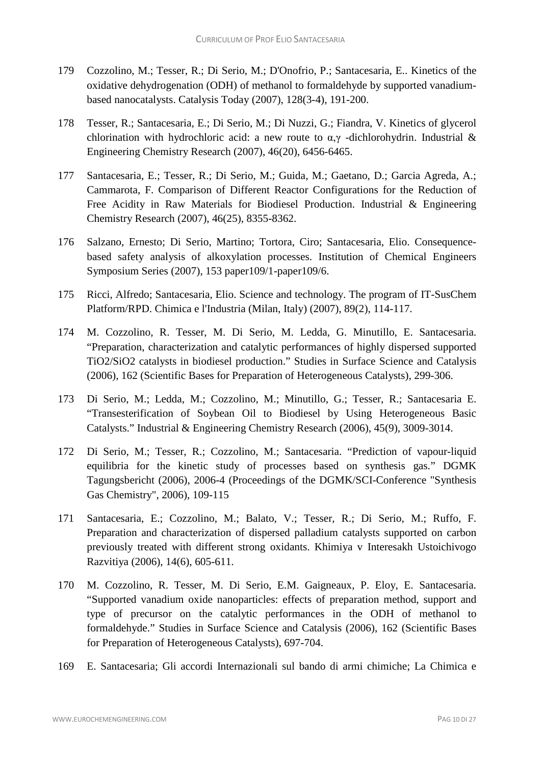- 179 Cozzolino, M.; Tesser, R.; Di Serio, M.; D'Onofrio, P.; Santacesaria, E.. Kinetics of the oxidative dehydrogenation (ODH) of methanol to formaldehyde by supported vanadiumbased nanocatalysts. Catalysis Today (2007), 128(3-4), 191-200.
- 178 Tesser, R.; Santacesaria, E.; Di Serio, M.; Di Nuzzi, G.; Fiandra, V. Kinetics of glycerol chlorination with hydrochloric acid: a new route to  $\alpha, \gamma$  -dichlorohydrin. Industrial & Engineering Chemistry Research (2007), 46(20), 6456-6465.
- 177 Santacesaria, E.; Tesser, R.; Di Serio, M.; Guida, M.; Gaetano, D.; Garcia Agreda, A.; Cammarota, F. Comparison of Different Reactor Configurations for the Reduction of Free Acidity in Raw Materials for Biodiesel Production. Industrial & Engineering Chemistry Research (2007), 46(25), 8355-8362.
- 176 Salzano, Ernesto; Di Serio, Martino; Tortora, Ciro; Santacesaria, Elio. Consequencebased safety analysis of alkoxylation processes. Institution of Chemical Engineers Symposium Series (2007), 153 paper109/1-paper109/6.
- 175 Ricci, Alfredo; Santacesaria, Elio. Science and technology. The program of IT-SusChem Platform/RPD. Chimica e l'Industria (Milan, Italy) (2007), 89(2), 114-117.
- 174 M. Cozzolino, R. Tesser, M. Di Serio, M. Ledda, G. Minutillo, E. Santacesaria. "Preparation, characterization and catalytic performances of highly dispersed supported TiO2/SiO2 catalysts in biodiesel production." Studies in Surface Science and Catalysis (2006), 162 (Scientific Bases for Preparation of Heterogeneous Catalysts), 299-306.
- 173 Di Serio, M.; Ledda, M.; Cozzolino, M.; Minutillo, G.; Tesser, R.; Santacesaria E. "Transesterification of Soybean Oil to Biodiesel by Using Heterogeneous Basic Catalysts." Industrial & Engineering Chemistry Research (2006), 45(9), 3009-3014.
- 172 Di Serio, M.; Tesser, R.; Cozzolino, M.; Santacesaria. "Prediction of vapour-liquid equilibria for the kinetic study of processes based on synthesis gas." DGMK Tagungsbericht (2006), 2006-4 (Proceedings of the DGMK/SCI-Conference "Synthesis Gas Chemistry", 2006), 109-115
- 171 Santacesaria, E.; Cozzolino, M.; Balato, V.; Tesser, R.; Di Serio, M.; Ruffo, F. Preparation and characterization of dispersed palladium catalysts supported on carbon previously treated with different strong oxidants. Khimiya v Interesakh Ustoichivogo Razvitiya (2006), 14(6), 605-611.
- 170 M. Cozzolino, R. Tesser, M. Di Serio, E.M. Gaigneaux, P. Eloy, E. Santacesaria. "Supported vanadium oxide nanoparticles: effects of preparation method, support and type of precursor on the catalytic performances in the ODH of methanol to formaldehyde." Studies in Surface Science and Catalysis (2006), 162 (Scientific Bases for Preparation of Heterogeneous Catalysts), 697-704.
- 169 E. Santacesaria; Gli accordi Internazionali sul bando di armi chimiche; La Chimica e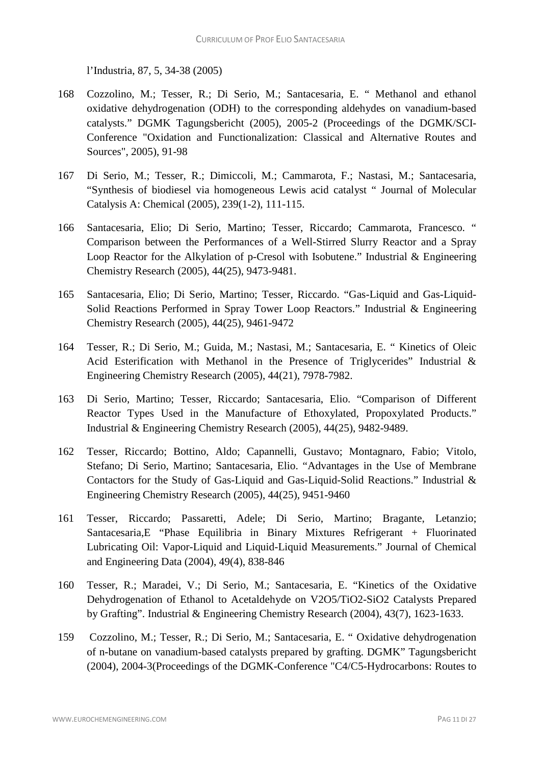l'Industria, 87, 5, 34-38 (2005)

- 168 Cozzolino, M.; Tesser, R.; Di Serio, M.; Santacesaria, E. " Methanol and ethanol oxidative dehydrogenation (ODH) to the corresponding aldehydes on vanadium-based catalysts." DGMK Tagungsbericht (2005), 2005-2 (Proceedings of the DGMK/SCI-Conference "Oxidation and Functionalization: Classical and Alternative Routes and Sources", 2005), 91-98
- 167 Di Serio, M.; Tesser, R.; Dimiccoli, M.; Cammarota, F.; Nastasi, M.; Santacesaria, "Synthesis of biodiesel via homogeneous Lewis acid catalyst " Journal of Molecular Catalysis A: Chemical (2005), 239(1-2), 111-115.
- 166 Santacesaria, Elio; Di Serio, Martino; Tesser, Riccardo; Cammarota, Francesco. " Comparison between the Performances of a Well-Stirred Slurry Reactor and a Spray Loop Reactor for the Alkylation of p-Cresol with Isobutene." Industrial & Engineering Chemistry Research (2005), 44(25), 9473-9481.
- 165 Santacesaria, Elio; Di Serio, Martino; Tesser, Riccardo. "Gas-Liquid and Gas-Liquid-Solid Reactions Performed in Spray Tower Loop Reactors." Industrial & Engineering Chemistry Research (2005), 44(25), 9461-9472
- 164 Tesser, R.; Di Serio, M.; Guida, M.; Nastasi, M.; Santacesaria, E. " Kinetics of Oleic Acid Esterification with Methanol in the Presence of Triglycerides" Industrial & Engineering Chemistry Research (2005), 44(21), 7978-7982.
- 163 Di Serio, Martino; Tesser, Riccardo; Santacesaria, Elio. "Comparison of Different Reactor Types Used in the Manufacture of Ethoxylated, Propoxylated Products." Industrial & Engineering Chemistry Research (2005), 44(25), 9482-9489.
- 162 Tesser, Riccardo; Bottino, Aldo; Capannelli, Gustavo; Montagnaro, Fabio; Vitolo, Stefano; Di Serio, Martino; Santacesaria, Elio. "Advantages in the Use of Membrane Contactors for the Study of Gas-Liquid and Gas-Liquid-Solid Reactions." Industrial & Engineering Chemistry Research (2005), 44(25), 9451-9460
- 161 Tesser, Riccardo; Passaretti, Adele; Di Serio, Martino; Bragante, Letanzio; Santacesaria,E "Phase Equilibria in Binary Mixtures Refrigerant + Fluorinated Lubricating Oil: Vapor-Liquid and Liquid-Liquid Measurements." Journal of Chemical and Engineering Data (2004), 49(4), 838-846
- 160 Tesser, R.; Maradei, V.; Di Serio, M.; Santacesaria, E. "Kinetics of the Oxidative Dehydrogenation of Ethanol to Acetaldehyde on V2O5/TiO2-SiO2 Catalysts Prepared by Grafting". Industrial & Engineering Chemistry Research (2004), 43(7), 1623-1633.
- 159 Cozzolino, M.; Tesser, R.; Di Serio, M.; Santacesaria, E. " Oxidative dehydrogenation of n-butane on vanadium-based catalysts prepared by grafting. DGMK" Tagungsbericht (2004), 2004-3(Proceedings of the DGMK-Conference "C4/C5-Hydrocarbons: Routes to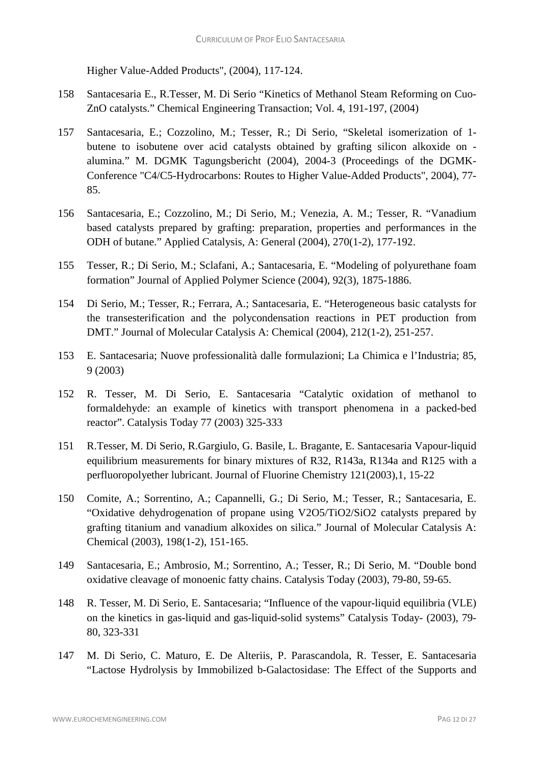Higher Value-Added Products", (2004), 117-124.

- 158 Santacesaria E., R.Tesser, M. Di Serio "Kinetics of Methanol Steam Reforming on Cuo-ZnO catalysts." Chemical Engineering Transaction; Vol. 4, 191-197, (2004)
- 157 Santacesaria, E.; Cozzolino, M.; Tesser, R.; Di Serio, "Skeletal isomerization of 1 butene to isobutene over acid catalysts obtained by grafting silicon alkoxide on alumina." M. DGMK Tagungsbericht (2004), 2004-3 (Proceedings of the DGMK-Conference "C4/C5-Hydrocarbons: Routes to Higher Value-Added Products", 2004), 77- 85.
- 156 Santacesaria, E.; Cozzolino, M.; Di Serio, M.; Venezia, A. M.; Tesser, R. "Vanadium based catalysts prepared by grafting: preparation, properties and performances in the ODH of butane." Applied Catalysis, A: General (2004), 270(1-2), 177-192.
- 155 Tesser, R.; Di Serio, M.; Sclafani, A.; Santacesaria, E. "Modeling of polyurethane foam formation" Journal of Applied Polymer Science (2004), 92(3), 1875-1886.
- 154 Di Serio, M.; Tesser, R.; Ferrara, A.; Santacesaria, E. "Heterogeneous basic catalysts for the transesterification and the polycondensation reactions in PET production from DMT." Journal of Molecular Catalysis A: Chemical (2004), 212(1-2), 251-257.
- 153 E. Santacesaria; Nuove professionalità dalle formulazioni; La Chimica e l'Industria; 85, 9 (2003)
- 152 R. Tesser, M. Di Serio, E. Santacesaria "Catalytic oxidation of methanol to formaldehyde: an example of kinetics with transport phenomena in a packed-bed reactor". Catalysis Today 77 (2003) 325-333
- 151 R.Tesser, M. Di Serio, R.Gargiulo, G. Basile, L. Bragante, E. Santacesaria Vapour-liquid equilibrium measurements for binary mixtures of R32, R143a, R134a and R125 with a perfluoropolyether lubricant. Journal of Fluorine Chemistry 121(2003),1, 15-22
- 150 Comite, A.; Sorrentino, A.; Capannelli, G.; Di Serio, M.; Tesser, R.; Santacesaria, E. "Oxidative dehydrogenation of propane using V2O5/TiO2/SiO2 catalysts prepared by grafting titanium and vanadium alkoxides on silica." Journal of Molecular Catalysis A: Chemical (2003), 198(1-2), 151-165.
- 149 Santacesaria, E.; Ambrosio, M.; Sorrentino, A.; Tesser, R.; Di Serio, M. "Double bond oxidative cleavage of monoenic fatty chains. Catalysis Today (2003), 79-80, 59-65.
- 148 R. Tesser, M. Di Serio, E. Santacesaria; "Influence of the vapour-liquid equilibria (VLE) on the kinetics in gas-liquid and gas-liquid-solid systems" Catalysis Today- (2003), 79- 80, 323-331
- 147 M. Di Serio, C. Maturo, E. De Alteriis, P. Parascandola, R. Tesser, E. Santacesaria "Lactose Hydrolysis by Immobilized b-Galactosidase: The Effect of the Supports and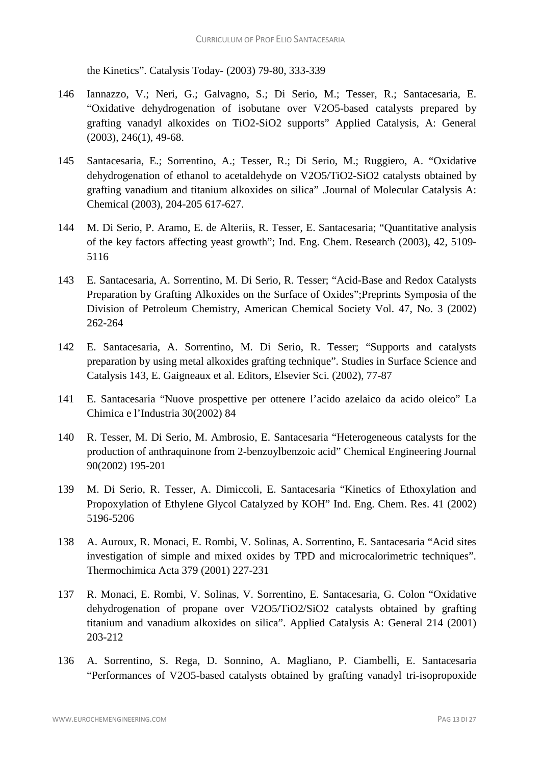the Kinetics". Catalysis Today- (2003) 79-80, 333-339

- 146 Iannazzo, V.; Neri, G.; Galvagno, S.; Di Serio, M.; Tesser, R.; Santacesaria, E. "Oxidative dehydrogenation of isobutane over V2O5-based catalysts prepared by grafting vanadyl alkoxides on TiO2-SiO2 supports" Applied Catalysis, A: General (2003), 246(1), 49-68.
- 145 Santacesaria, E.; Sorrentino, A.; Tesser, R.; Di Serio, M.; Ruggiero, A. "Oxidative dehydrogenation of ethanol to acetaldehyde on V2O5/TiO2-SiO2 catalysts obtained by grafting vanadium and titanium alkoxides on silica" .Journal of Molecular Catalysis A: Chemical (2003), 204-205 617-627.
- 144 M. Di Serio, P. Aramo, E. de Alteriis, R. Tesser, E. Santacesaria; "Quantitative analysis of the key factors affecting yeast growth"; Ind. Eng. Chem. Research (2003), 42, 5109- 5116
- 143 E. Santacesaria, A. Sorrentino, M. Di Serio, R. Tesser; "Acid-Base and Redox Catalysts Preparation by Grafting Alkoxides on the Surface of Oxides";Preprints Symposia of the Division of Petroleum Chemistry, American Chemical Society Vol. 47, No. 3 (2002) 262-264
- 142 E. Santacesaria, A. Sorrentino, M. Di Serio, R. Tesser; "Supports and catalysts preparation by using metal alkoxides grafting technique". Studies in Surface Science and Catalysis 143, E. Gaigneaux et al. Editors, Elsevier Sci. (2002), 77-87
- 141 E. Santacesaria "Nuove prospettive per ottenere l'acido azelaico da acido oleico" La Chimica e l'Industria 30(2002) 84
- 140 R. Tesser, M. Di Serio, M. Ambrosio, E. Santacesaria "Heterogeneous catalysts for the production of anthraquinone from 2-benzoylbenzoic acid" Chemical Engineering Journal 90(2002) 195-201
- 139 M. Di Serio, R. Tesser, A. Dimiccoli, E. Santacesaria "Kinetics of Ethoxylation and Propoxylation of Ethylene Glycol Catalyzed by KOH" Ind. Eng. Chem. Res. 41 (2002) 5196-5206
- 138 A. Auroux, R. Monaci, E. Rombi, V. Solinas, A. Sorrentino, E. Santacesaria "Acid sites investigation of simple and mixed oxides by TPD and microcalorimetric techniques". Thermochimica Acta 379 (2001) 227-231
- 137 R. Monaci, E. Rombi, V. Solinas, V. Sorrentino, E. Santacesaria, G. Colon "Oxidative dehydrogenation of propane over V2O5/TiO2/SiO2 catalysts obtained by grafting titanium and vanadium alkoxides on silica". Applied Catalysis A: General 214 (2001) 203-212
- 136 A. Sorrentino, S. Rega, D. Sonnino, A. Magliano, P. Ciambelli, E. Santacesaria "Performances of V2O5-based catalysts obtained by grafting vanadyl tri-isopropoxide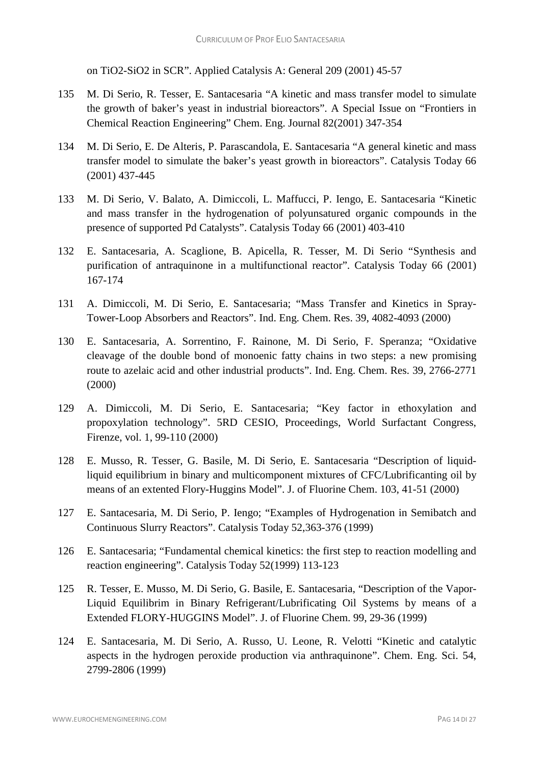on TiO2-SiO2 in SCR". Applied Catalysis A: General 209 (2001) 45-57

- 135 M. Di Serio, R. Tesser, E. Santacesaria "A kinetic and mass transfer model to simulate the growth of baker's yeast in industrial bioreactors". A Special Issue on "Frontiers in Chemical Reaction Engineering" Chem. Eng. Journal 82(2001) 347-354
- 134 M. Di Serio, E. De Alteris, P. Parascandola, E. Santacesaria "A general kinetic and mass transfer model to simulate the baker's yeast growth in bioreactors". Catalysis Today 66 (2001) 437-445
- 133 M. Di Serio, V. Balato, A. Dimiccoli, L. Maffucci, P. Iengo, E. Santacesaria "Kinetic and mass transfer in the hydrogenation of polyunsatured organic compounds in the presence of supported Pd Catalysts". Catalysis Today 66 (2001) 403-410
- 132 E. Santacesaria, A. Scaglione, B. Apicella, R. Tesser, M. Di Serio "Synthesis and purification of antraquinone in a multifunctional reactor". Catalysis Today 66 (2001) 167-174
- 131 A. Dimiccoli, M. Di Serio, E. Santacesaria; "Mass Transfer and Kinetics in Spray-Tower-Loop Absorbers and Reactors". Ind. Eng. Chem. Res. 39, 4082-4093 (2000)
- 130 E. Santacesaria, A. Sorrentino, F. Rainone, M. Di Serio, F. Speranza; "Oxidative cleavage of the double bond of monoenic fatty chains in two steps: a new promising route to azelaic acid and other industrial products". Ind. Eng. Chem. Res. 39, 2766-2771 (2000)
- 129 A. Dimiccoli, M. Di Serio, E. Santacesaria; "Key factor in ethoxylation and propoxylation technology". 5RD CESIO, Proceedings, World Surfactant Congress, Firenze, vol. 1, 99-110 (2000)
- 128 E. Musso, R. Tesser, G. Basile, M. Di Serio, E. Santacesaria "Description of liquidliquid equilibrium in binary and multicomponent mixtures of CFC/Lubrificanting oil by means of an extented Flory-Huggins Model". J. of Fluorine Chem. 103, 41-51 (2000)
- 127 E. Santacesaria, M. Di Serio, P. Iengo; "Examples of Hydrogenation in Semibatch and Continuous Slurry Reactors". Catalysis Today 52,363-376 (1999)
- 126 E. Santacesaria; "Fundamental chemical kinetics: the first step to reaction modelling and reaction engineering". Catalysis Today 52(1999) 113-123
- 125 R. Tesser, E. Musso, M. Di Serio, G. Basile, E. Santacesaria, "Description of the Vapor-Liquid Equilibrim in Binary Refrigerant/Lubrificating Oil Systems by means of a Extended FLORY-HUGGINS Model". J. of Fluorine Chem. 99, 29-36 (1999)
- 124 E. Santacesaria, M. Di Serio, A. Russo, U. Leone, R. Velotti "Kinetic and catalytic aspects in the hydrogen peroxide production via anthraquinone". Chem. Eng. Sci. 54, 2799-2806 (1999)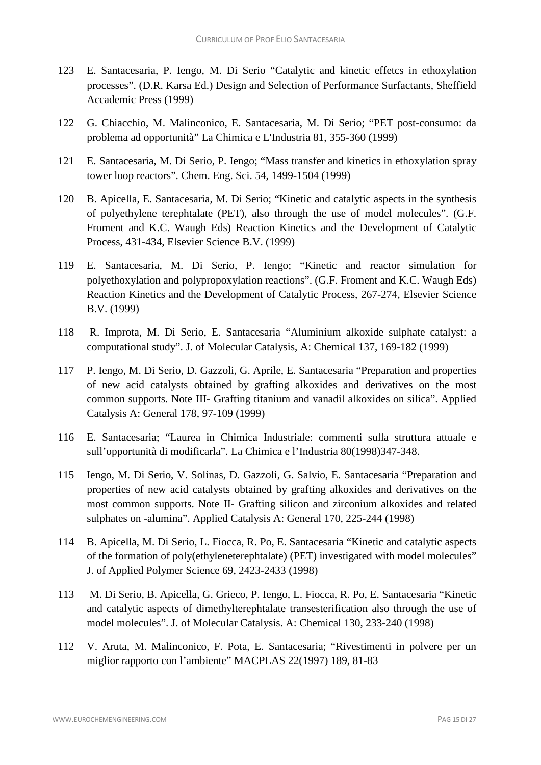- 123 E. Santacesaria, P. Iengo, M. Di Serio "Catalytic and kinetic effetcs in ethoxylation processes". (D.R. Karsa Ed.) Design and Selection of Performance Surfactants, Sheffield Accademic Press (1999)
- 122 G. Chiacchio, M. Malinconico, E. Santacesaria, M. Di Serio; "PET post-consumo: da problema ad opportunità" La Chimica e L'Industria 81, 355-360 (1999)
- 121 E. Santacesaria, M. Di Serio, P. Iengo; "Mass transfer and kinetics in ethoxylation spray tower loop reactors". Chem. Eng. Sci. 54, 1499-1504 (1999)
- 120 B. Apicella, E. Santacesaria, M. Di Serio; "Kinetic and catalytic aspects in the synthesis of polyethylene terephtalate (PET), also through the use of model molecules". (G.F. Froment and K.C. Waugh Eds) Reaction Kinetics and the Development of Catalytic Process, 431-434, Elsevier Science B.V. (1999)
- 119 E. Santacesaria, M. Di Serio, P. Iengo; "Kinetic and reactor simulation for polyethoxylation and polypropoxylation reactions". (G.F. Froment and K.C. Waugh Eds) Reaction Kinetics and the Development of Catalytic Process, 267-274, Elsevier Science B.V. (1999)
- 118 R. Improta, M. Di Serio, E. Santacesaria "Aluminium alkoxide sulphate catalyst: a computational study". J. of Molecular Catalysis, A: Chemical 137, 169-182 (1999)
- 117 P. Iengo, M. Di Serio, D. Gazzoli, G. Aprile, E. Santacesaria "Preparation and properties of new acid catalysts obtained by grafting alkoxides and derivatives on the most common supports. Note III- Grafting titanium and vanadil alkoxides on silica". Applied Catalysis A: General 178, 97-109 (1999)
- 116 E. Santacesaria; "Laurea in Chimica Industriale: commenti sulla struttura attuale e sull'opportunità di modificarla". La Chimica e l'Industria 80(1998)347-348.
- 115 Iengo, M. Di Serio, V. Solinas, D. Gazzoli, G. Salvio, E. Santacesaria "Preparation and properties of new acid catalysts obtained by grafting alkoxides and derivatives on the most common supports. Note II- Grafting silicon and zirconium alkoxides and related sulphates on -alumina". Applied Catalysis A: General 170, 225-244 (1998)
- 114 B. Apicella, M. Di Serio, L. Fiocca, R. Po, E. Santacesaria "Kinetic and catalytic aspects of the formation of poly(ethyleneterephtalate) (PET) investigated with model molecules" J. of Applied Polymer Science 69, 2423-2433 (1998)
- 113 M. Di Serio, B. Apicella, G. Grieco, P. Iengo, L. Fiocca, R. Po, E. Santacesaria "Kinetic and catalytic aspects of dimethylterephtalate transesterification also through the use of model molecules". J. of Molecular Catalysis. A: Chemical 130, 233-240 (1998)
- 112 V. Aruta, M. Malinconico, F. Pota, E. Santacesaria; "Rivestimenti in polvere per un miglior rapporto con l'ambiente" MACPLAS 22(1997) 189, 81-83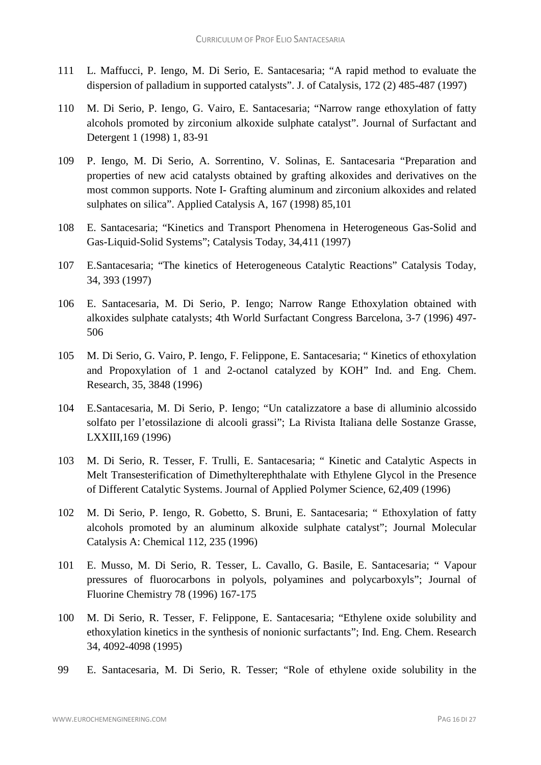- 111 L. Maffucci, P. Iengo, M. Di Serio, E. Santacesaria; "A rapid method to evaluate the dispersion of palladium in supported catalysts". J. of Catalysis, 172 (2) 485-487 (1997)
- 110 M. Di Serio, P. Iengo, G. Vairo, E. Santacesaria; "Narrow range ethoxylation of fatty alcohols promoted by zirconium alkoxide sulphate catalyst". Journal of Surfactant and Detergent 1 (1998) 1, 83-91
- 109 P. Iengo, M. Di Serio, A. Sorrentino, V. Solinas, E. Santacesaria "Preparation and properties of new acid catalysts obtained by grafting alkoxides and derivatives on the most common supports. Note I- Grafting aluminum and zirconium alkoxides and related sulphates on silica". Applied Catalysis A, 167 (1998) 85,101
- 108 E. Santacesaria; "Kinetics and Transport Phenomena in Heterogeneous Gas-Solid and Gas-Liquid-Solid Systems"; Catalysis Today, 34,411 (1997)
- 107 E.Santacesaria; "The kinetics of Heterogeneous Catalytic Reactions" Catalysis Today, 34, 393 (1997)
- 106 E. Santacesaria, M. Di Serio, P. Iengo; Narrow Range Ethoxylation obtained with alkoxides sulphate catalysts; 4th World Surfactant Congress Barcelona, 3-7 (1996) 497- 506
- 105 M. Di Serio, G. Vairo, P. Iengo, F. Felippone, E. Santacesaria; " Kinetics of ethoxylation and Propoxylation of 1 and 2-octanol catalyzed by KOH" Ind. and Eng. Chem. Research, 35, 3848 (1996)
- 104 E.Santacesaria, M. Di Serio, P. Iengo; "Un catalizzatore a base di alluminio alcossido solfato per l'etossilazione di alcooli grassi"; La Rivista Italiana delle Sostanze Grasse, LXXIII,169 (1996)
- 103 M. Di Serio, R. Tesser, F. Trulli, E. Santacesaria; " Kinetic and Catalytic Aspects in Melt Transesterification of Dimethylterephthalate with Ethylene Glycol in the Presence of Different Catalytic Systems. Journal of Applied Polymer Science, 62,409 (1996)
- 102 M. Di Serio, P. Iengo, R. Gobetto, S. Bruni, E. Santacesaria; " Ethoxylation of fatty alcohols promoted by an aluminum alkoxide sulphate catalyst"; Journal Molecular Catalysis A: Chemical 112, 235 (1996)
- 101 E. Musso, M. Di Serio, R. Tesser, L. Cavallo, G. Basile, E. Santacesaria; " Vapour pressures of fluorocarbons in polyols, polyamines and polycarboxyls"; Journal of Fluorine Chemistry 78 (1996) 167-175
- 100 M. Di Serio, R. Tesser, F. Felippone, E. Santacesaria; "Ethylene oxide solubility and ethoxylation kinetics in the synthesis of nonionic surfactants"; Ind. Eng. Chem. Research 34, 4092-4098 (1995)
- 99 E. Santacesaria, M. Di Serio, R. Tesser; "Role of ethylene oxide solubility in the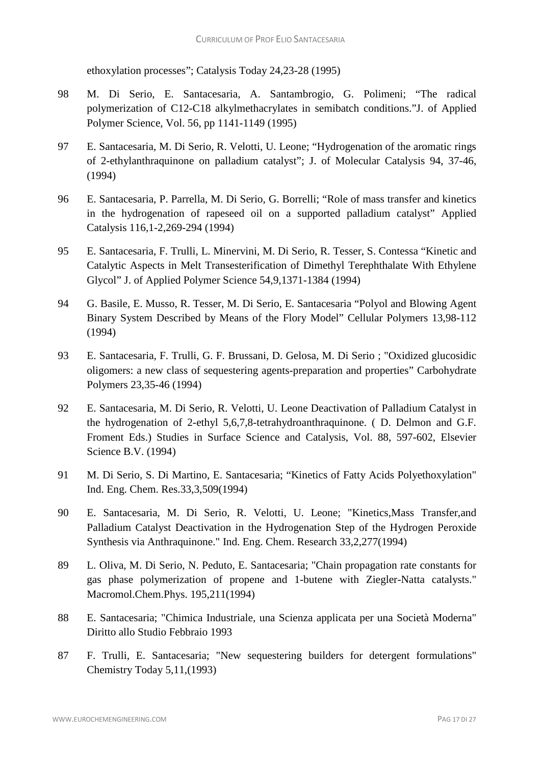ethoxylation processes"; Catalysis Today 24,23-28 (1995)

- 98 M. Di Serio, E. Santacesaria, A. Santambrogio, G. Polimeni; "The radical polymerization of C12-C18 alkylmethacrylates in semibatch conditions."J. of Applied Polymer Science, Vol. 56, pp 1141-1149 (1995)
- 97 E. Santacesaria, M. Di Serio, R. Velotti, U. Leone; "Hydrogenation of the aromatic rings of 2-ethylanthraquinone on palladium catalyst"; J. of Molecular Catalysis 94, 37-46, (1994)
- 96 E. Santacesaria, P. Parrella, M. Di Serio, G. Borrelli; "Role of mass transfer and kinetics in the hydrogenation of rapeseed oil on a supported palladium catalyst" Applied Catalysis 116,1-2,269-294 (1994)
- 95 E. Santacesaria, F. Trulli, L. Minervini, M. Di Serio, R. Tesser, S. Contessa "Kinetic and Catalytic Aspects in Melt Transesterification of Dimethyl Terephthalate With Ethylene Glycol" J. of Applied Polymer Science 54,9,1371-1384 (1994)
- 94 G. Basile, E. Musso, R. Tesser, M. Di Serio, E. Santacesaria "Polyol and Blowing Agent Binary System Described by Means of the Flory Model" Cellular Polymers 13,98-112 (1994)
- 93 E. Santacesaria, F. Trulli, G. F. Brussani, D. Gelosa, M. Di Serio ; "Oxidized glucosidic oligomers: a new class of sequestering agents-preparation and properties" Carbohydrate Polymers 23,35-46 (1994)
- 92 E. Santacesaria, M. Di Serio, R. Velotti, U. Leone Deactivation of Palladium Catalyst in the hydrogenation of 2-ethyl 5,6,7,8-tetrahydroanthraquinone. ( D. Delmon and G.F. Froment Eds.) Studies in Surface Science and Catalysis, Vol. 88, 597-602, Elsevier Science B.V. (1994)
- 91 M. Di Serio, S. Di Martino, E. Santacesaria; "Kinetics of Fatty Acids Polyethoxylation" Ind. Eng. Chem. Res.33,3,509(1994)
- 90 E. Santacesaria, M. Di Serio, R. Velotti, U. Leone; "Kinetics,Mass Transfer,and Palladium Catalyst Deactivation in the Hydrogenation Step of the Hydrogen Peroxide Synthesis via Anthraquinone." Ind. Eng. Chem. Research 33,2,277(1994)
- 89 L. Oliva, M. Di Serio, N. Peduto, E. Santacesaria; "Chain propagation rate constants for gas phase polymerization of propene and 1-butene with Ziegler-Natta catalysts." Macromol.Chem.Phys. 195,211(1994)
- 88 E. Santacesaria; "Chimica Industriale, una Scienza applicata per una Società Moderna" Diritto allo Studio Febbraio 1993
- 87 F. Trulli, E. Santacesaria; "New sequestering builders for detergent formulations" Chemistry Today 5,11,(1993)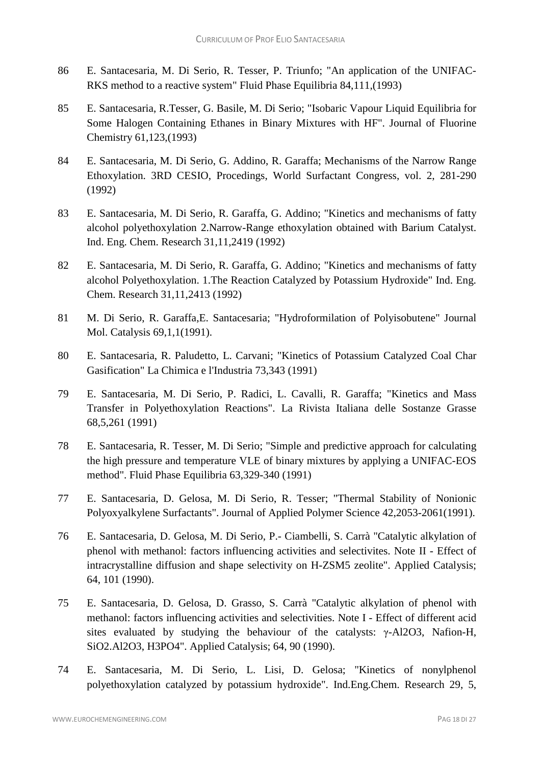- 86 E. Santacesaria, M. Di Serio, R. Tesser, P. Triunfo; "An application of the UNIFAC-RKS method to a reactive system" Fluid Phase Equilibria 84,111,(1993)
- 85 E. Santacesaria, R.Tesser, G. Basile, M. Di Serio; "Isobaric Vapour Liquid Equilibria for Some Halogen Containing Ethanes in Binary Mixtures with HF". Journal of Fluorine Chemistry 61,123,(1993)
- 84 E. Santacesaria, M. Di Serio, G. Addino, R. Garaffa; Mechanisms of the Narrow Range Ethoxylation. 3RD CESIO, Procedings, World Surfactant Congress, vol. 2, 281-290 (1992)
- 83 E. Santacesaria, M. Di Serio, R. Garaffa, G. Addino; "Kinetics and mechanisms of fatty alcohol polyethoxylation 2.Narrow-Range ethoxylation obtained with Barium Catalyst. Ind. Eng. Chem. Research 31,11,2419 (1992)
- 82 E. Santacesaria, M. Di Serio, R. Garaffa, G. Addino; "Kinetics and mechanisms of fatty alcohol Polyethoxylation. 1.The Reaction Catalyzed by Potassium Hydroxide" Ind. Eng. Chem. Research 31,11,2413 (1992)
- 81 M. Di Serio, R. Garaffa,E. Santacesaria; "Hydroformilation of Polyisobutene" Journal Mol. Catalysis 69,1,1(1991).
- 80 E. Santacesaria, R. Paludetto, L. Carvani; "Kinetics of Potassium Catalyzed Coal Char Gasification" La Chimica e l'Industria 73,343 (1991)
- 79 E. Santacesaria, M. Di Serio, P. Radici, L. Cavalli, R. Garaffa; "Kinetics and Mass Transfer in Polyethoxylation Reactions". La Rivista Italiana delle Sostanze Grasse 68,5,261 (1991)
- 78 E. Santacesaria, R. Tesser, M. Di Serio; "Simple and predictive approach for calculating the high pressure and temperature VLE of binary mixtures by applying a UNIFAC-EOS method". Fluid Phase Equilibria 63,329-340 (1991)
- 77 E. Santacesaria, D. Gelosa, M. Di Serio, R. Tesser; "Thermal Stability of Nonionic Polyoxyalkylene Surfactants". Journal of Applied Polymer Science 42,2053-2061(1991).
- 76 E. Santacesaria, D. Gelosa, M. Di Serio, P.- Ciambelli, S. Carrà "Catalytic alkylation of phenol with methanol: factors influencing activities and selectivites. Note II - Effect of intracrystalline diffusion and shape selectivity on H-ZSM5 zeolite". Applied Catalysis; 64, 101 (1990).
- 75 E. Santacesaria, D. Gelosa, D. Grasso, S. Carrà "Catalytic alkylation of phenol with methanol: factors influencing activities and selectivities. Note I - Effect of different acid sites evaluated by studying the behaviour of the catalysts: γ-Al2O3, Nafion-H, SiO2.Al2O3, H3PO4". Applied Catalysis; 64, 90 (1990).
- 74 E. Santacesaria, M. Di Serio, L. Lisi, D. Gelosa; "Kinetics of nonylphenol polyethoxylation catalyzed by potassium hydroxide". Ind.Eng.Chem. Research 29, 5,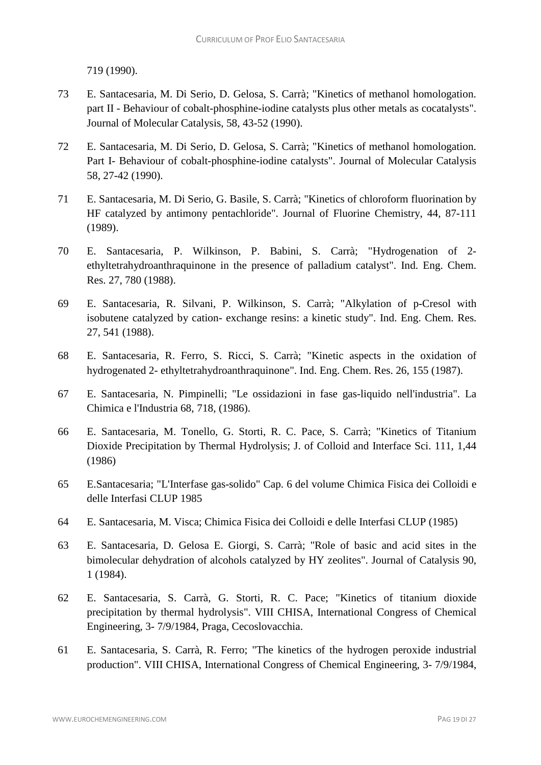719 (1990).

- 73 E. Santacesaria, M. Di Serio, D. Gelosa, S. Carrà; "Kinetics of methanol homologation. part II - Behaviour of cobalt-phosphine-iodine catalysts plus other metals as cocatalysts". Journal of Molecular Catalysis, 58, 43-52 (1990).
- 72 E. Santacesaria, M. Di Serio, D. Gelosa, S. Carrà; "Kinetics of methanol homologation. Part I- Behaviour of cobalt-phosphine-iodine catalysts". Journal of Molecular Catalysis 58, 27-42 (1990).
- 71 E. Santacesaria, M. Di Serio, G. Basile, S. Carrà; "Kinetics of chloroform fluorination by HF catalyzed by antimony pentachloride". Journal of Fluorine Chemistry, 44, 87-111 (1989).
- 70 E. Santacesaria, P. Wilkinson, P. Babini, S. Carrà; "Hydrogenation of 2 ethyltetrahydroanthraquinone in the presence of palladium catalyst". Ind. Eng. Chem. Res. 27, 780 (1988).
- 69 E. Santacesaria, R. Silvani, P. Wilkinson, S. Carrà; "Alkylation of p-Cresol with isobutene catalyzed by cation- exchange resins: a kinetic study". Ind. Eng. Chem. Res. 27, 541 (1988).
- 68 E. Santacesaria, R. Ferro, S. Ricci, S. Carrà; "Kinetic aspects in the oxidation of hydrogenated 2- ethyltetrahydroanthraquinone". Ind. Eng. Chem. Res. 26, 155 (1987).
- 67 E. Santacesaria, N. Pimpinelli; "Le ossidazioni in fase gas-liquido nell'industria". La Chimica e l'Industria 68, 718, (1986).
- 66 E. Santacesaria, M. Tonello, G. Storti, R. C. Pace, S. Carrà; "Kinetics of Titanium Dioxide Precipitation by Thermal Hydrolysis; J. of Colloid and Interface Sci. 111, 1,44 (1986)
- 65 E.Santacesaria; "L'Interfase gas-solido" Cap. 6 del volume Chimica Fisica dei Colloidi e delle Interfasi CLUP 1985
- 64 E. Santacesaria, M. Visca; Chimica Fisica dei Colloidi e delle Interfasi CLUP (1985)
- 63 E. Santacesaria, D. Gelosa E. Giorgi, S. Carrà; "Role of basic and acid sites in the bimolecular dehydration of alcohols catalyzed by HY zeolites". Journal of Catalysis 90, 1 (1984).
- 62 E. Santacesaria, S. Carrà, G. Storti, R. C. Pace; "Kinetics of titanium dioxide precipitation by thermal hydrolysis". VIII CHISA, International Congress of Chemical Engineering, 3- 7/9/1984, Praga, Cecoslovacchia.
- 61 E. Santacesaria, S. Carrà, R. Ferro; "The kinetics of the hydrogen peroxide industrial production". VIII CHISA, International Congress of Chemical Engineering, 3- 7/9/1984,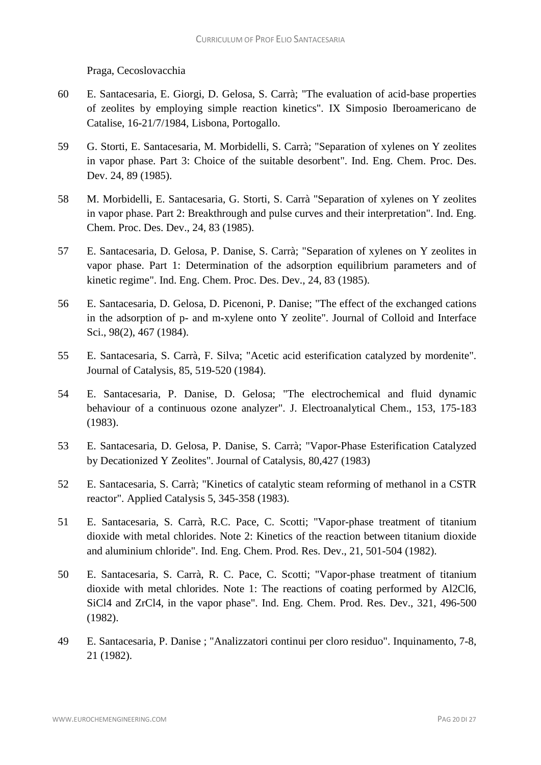Praga, Cecoslovacchia

- 60 E. Santacesaria, E. Giorgi, D. Gelosa, S. Carrà; "The evaluation of acid-base properties of zeolites by employing simple reaction kinetics". IX Simposio Iberoamericano de Catalise, 16-21/7/1984, Lisbona, Portogallo.
- 59 G. Storti, E. Santacesaria, M. Morbidelli, S. Carrà; "Separation of xylenes on Y zeolites in vapor phase. Part 3: Choice of the suitable desorbent". Ind. Eng. Chem. Proc. Des. Dev. 24, 89 (1985).
- 58 M. Morbidelli, E. Santacesaria, G. Storti, S. Carrà "Separation of xylenes on Y zeolites in vapor phase. Part 2: Breakthrough and pulse curves and their interpretation". Ind. Eng. Chem. Proc. Des. Dev., 24, 83 (1985).
- 57 E. Santacesaria, D. Gelosa, P. Danise, S. Carrà; "Separation of xylenes on Y zeolites in vapor phase. Part 1: Determination of the adsorption equilibrium parameters and of kinetic regime". Ind. Eng. Chem. Proc. Des. Dev., 24, 83 (1985).
- 56 E. Santacesaria, D. Gelosa, D. Picenoni, P. Danise; "The effect of the exchanged cations in the adsorption of p- and m-xylene onto Y zeolite". Journal of Colloid and Interface Sci., 98(2), 467 (1984).
- 55 E. Santacesaria, S. Carrà, F. Silva; "Acetic acid esterification catalyzed by mordenite". Journal of Catalysis, 85, 519-520 (1984).
- 54 E. Santacesaria, P. Danise, D. Gelosa; "The electrochemical and fluid dynamic behaviour of a continuous ozone analyzer". J. Electroanalytical Chem., 153, 175-183 (1983).
- 53 E. Santacesaria, D. Gelosa, P. Danise, S. Carrà; "Vapor-Phase Esterification Catalyzed by Decationized Y Zeolites". Journal of Catalysis, 80,427 (1983)
- 52 E. Santacesaria, S. Carrà; "Kinetics of catalytic steam reforming of methanol in a CSTR reactor". Applied Catalysis 5, 345-358 (1983).
- 51 E. Santacesaria, S. Carrà, R.C. Pace, C. Scotti; "Vapor-phase treatment of titanium dioxide with metal chlorides. Note 2: Kinetics of the reaction between titanium dioxide and aluminium chloride". Ind. Eng. Chem. Prod. Res. Dev., 21, 501-504 (1982).
- 50 E. Santacesaria, S. Carrà, R. C. Pace, C. Scotti; "Vapor-phase treatment of titanium dioxide with metal chlorides. Note 1: The reactions of coating performed by Al2Cl6, SiCl4 and ZrCl4, in the vapor phase". Ind. Eng. Chem. Prod. Res. Dev., 321, 496-500 (1982).
- 49 E. Santacesaria, P. Danise ; "Analizzatori continui per cloro residuo". Inquinamento, 7-8, 21 (1982).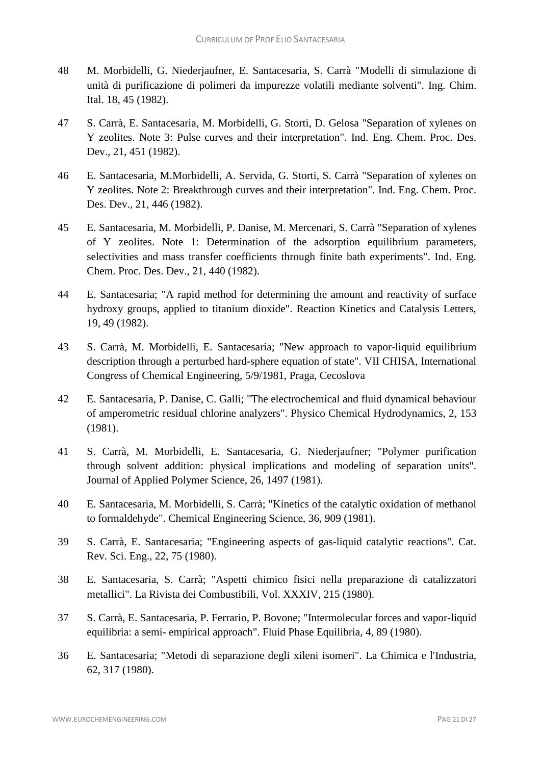- 48 M. Morbidelli, G. Niederjaufner, E. Santacesaria, S. Carrà "Modelli di simulazione di unità di purificazione di polimeri da impurezze volatili mediante solventi". Ing. Chim. Ital. 18, 45 (1982).
- 47 S. Carrà, E. Santacesaria, M. Morbidelli, G. Storti, D. Gelosa "Separation of xylenes on Y zeolites. Note 3: Pulse curves and their interpretation". Ind. Eng. Chem. Proc. Des. Dev., 21, 451 (1982).
- 46 E. Santacesaria, M.Morbidelli, A. Servida, G. Storti, S. Carrà "Separation of xylenes on Y zeolites. Note 2: Breakthrough curves and their interpretation". Ind. Eng. Chem. Proc. Des. Dev., 21, 446 (1982).
- 45 E. Santacesaria, M. Morbidelli, P. Danise, M. Mercenari, S. Carrà "Separation of xylenes of Y zeolites. Note 1: Determination of the adsorption equilibrium parameters, selectivities and mass transfer coefficients through finite bath experiments". Ind. Eng. Chem. Proc. Des. Dev., 21, 440 (1982).
- 44 E. Santacesaria; "A rapid method for determining the amount and reactivity of surface hydroxy groups, applied to titanium dioxide". Reaction Kinetics and Catalysis Letters, 19, 49 (1982).
- 43 S. Carrà, M. Morbidelli, E. Santacesaria; "New approach to vapor-liquid equilibrium description through a perturbed hard-sphere equation of state". VII CHISA, International Congress of Chemical Engineering, 5/9/1981, Praga, Cecoslova
- 42 E. Santacesaria, P. Danise, C. Galli; "The electrochemical and fluid dynamical behaviour of amperometric residual chlorine analyzers". Physico Chemical Hydrodynamics, 2, 153 (1981).
- 41 S. Carrà, M. Morbidelli, E. Santacesaria, G. Niederjaufner; "Polymer purification through solvent addition: physical implications and modeling of separation units". Journal of Applied Polymer Science, 26, 1497 (1981).
- 40 E. Santacesaria, M. Morbidelli, S. Carrà; "Kinetics of the catalytic oxidation of methanol to formaldehyde". Chemical Engineering Science, 36, 909 (1981).
- 39 S. Carrà, E. Santacesaria; "Engineering aspects of gas-liquid catalytic reactions". Cat. Rev. Sci. Eng., 22, 75 (1980).
- 38 E. Santacesaria, S. Carrà; "Aspetti chimico fisici nella preparazione di catalizzatori metallici". La Rivista dei Combustibili, Vol. XXXIV, 215 (1980).
- 37 S. Carrà, E. Santacesaria, P. Ferrario, P. Bovone; "Intermolecular forces and vapor-liquid equilibria: a semi- empirical approach". Fluid Phase Equilibria, 4, 89 (1980).
- 36 E. Santacesaria; "Metodi di separazione degli xileni isomeri". La Chimica e l'Industria, 62, 317 (1980).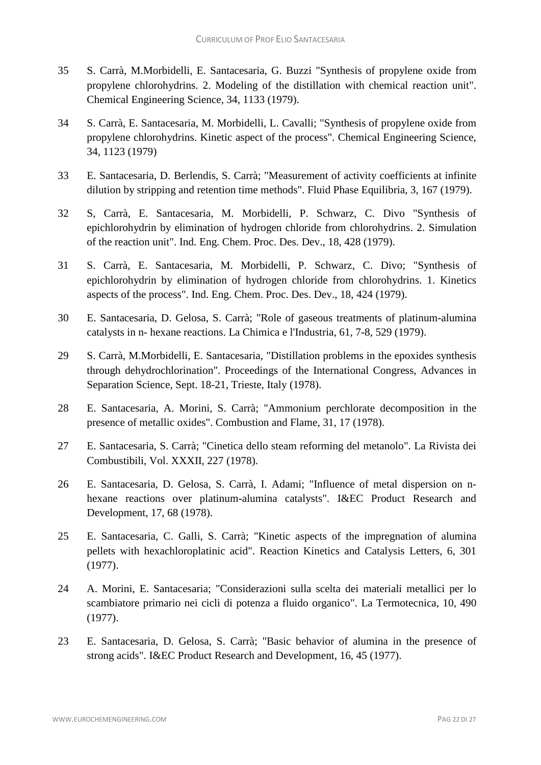- 35 S. Carrà, M.Morbidelli, E. Santacesaria, G. Buzzi "Synthesis of propylene oxide from propylene chlorohydrins. 2. Modeling of the distillation with chemical reaction unit". Chemical Engineering Science, 34, 1133 (1979).
- 34 S. Carrà, E. Santacesaria, M. Morbidelli, L. Cavalli; "Synthesis of propylene oxide from propylene chlorohydrins. Kinetic aspect of the process". Chemical Engineering Science, 34, 1123 (1979)
- 33 E. Santacesaria, D. Berlendis, S. Carrà; "Measurement of activity coefficients at infinite dilution by stripping and retention time methods". Fluid Phase Equilibria, 3, 167 (1979).
- 32 S, Carrà, E. Santacesaria, M. Morbidelli, P. Schwarz, C. Divo "Synthesis of epichlorohydrin by elimination of hydrogen chloride from chlorohydrins. 2. Simulation of the reaction unit". Ind. Eng. Chem. Proc. Des. Dev., 18, 428 (1979).
- 31 S. Carrà, E. Santacesaria, M. Morbidelli, P. Schwarz, C. Divo; "Synthesis of epichlorohydrin by elimination of hydrogen chloride from chlorohydrins. 1. Kinetics aspects of the process". Ind. Eng. Chem. Proc. Des. Dev., 18, 424 (1979).
- 30 E. Santacesaria, D. Gelosa, S. Carrà; "Role of gaseous treatments of platinum-alumina catalysts in n- hexane reactions. La Chimica e l'Industria, 61, 7-8, 529 (1979).
- 29 S. Carrà, M.Morbidelli, E. Santacesaria, "Distillation problems in the epoxides synthesis through dehydrochlorination". Proceedings of the International Congress, Advances in Separation Science, Sept. 18-21, Trieste, Italy (1978).
- 28 E. Santacesaria, A. Morini, S. Carrà; "Ammonium perchlorate decomposition in the presence of metallic oxides". Combustion and Flame, 31, 17 (1978).
- 27 E. Santacesaria, S. Carrà; "Cinetica dello steam reforming del metanolo". La Rivista dei Combustibili, Vol. XXXII, 227 (1978).
- 26 E. Santacesaria, D. Gelosa, S. Carrà, I. Adami; "Influence of metal dispersion on nhexane reactions over platinum-alumina catalysts". I&EC Product Research and Development, 17, 68 (1978).
- 25 E. Santacesaria, C. Galli, S. Carrà; "Kinetic aspects of the impregnation of alumina pellets with hexachloroplatinic acid". Reaction Kinetics and Catalysis Letters, 6, 301 (1977).
- 24 A. Morini, E. Santacesaria; "Considerazioni sulla scelta dei materiali metallici per lo scambiatore primario nei cicli di potenza a fluido organico". La Termotecnica, 10, 490 (1977).
- 23 E. Santacesaria, D. Gelosa, S. Carrà; "Basic behavior of alumina in the presence of strong acids". I&EC Product Research and Development, 16, 45 (1977).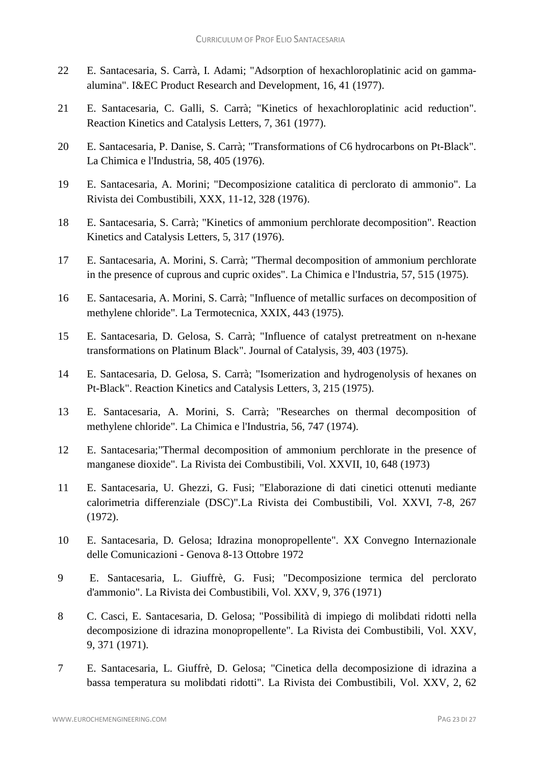- 22 E. Santacesaria, S. Carrà, I. Adami; "Adsorption of hexachloroplatinic acid on gammaalumina". I&EC Product Research and Development, 16, 41 (1977).
- 21 E. Santacesaria, C. Galli, S. Carrà; "Kinetics of hexachloroplatinic acid reduction". Reaction Kinetics and Catalysis Letters, 7, 361 (1977).
- 20 E. Santacesaria, P. Danise, S. Carrà; "Transformations of C6 hydrocarbons on Pt-Black". La Chimica e l'Industria, 58, 405 (1976).
- 19 E. Santacesaria, A. Morini; "Decomposizione catalitica di perclorato di ammonio". La Rivista dei Combustibili, XXX, 11-12, 328 (1976).
- 18 E. Santacesaria, S. Carrà; "Kinetics of ammonium perchlorate decomposition". Reaction Kinetics and Catalysis Letters, 5, 317 (1976).
- 17 E. Santacesaria, A. Morini, S. Carrà; "Thermal decomposition of ammonium perchlorate in the presence of cuprous and cupric oxides". La Chimica e l'Industria, 57, 515 (1975).
- 16 E. Santacesaria, A. Morini, S. Carrà; "Influence of metallic surfaces on decomposition of methylene chloride". La Termotecnica, XXIX, 443 (1975).
- 15 E. Santacesaria, D. Gelosa, S. Carrà; "Influence of catalyst pretreatment on n-hexane transformations on Platinum Black". Journal of Catalysis, 39, 403 (1975).
- 14 E. Santacesaria, D. Gelosa, S. Carrà; "Isomerization and hydrogenolysis of hexanes on Pt-Black". Reaction Kinetics and Catalysis Letters, 3, 215 (1975).
- 13 E. Santacesaria, A. Morini, S. Carrà; "Researches on thermal decomposition of methylene chloride". La Chimica e l'Industria, 56, 747 (1974).
- 12 E. Santacesaria;"Thermal decomposition of ammonium perchlorate in the presence of manganese dioxide". La Rivista dei Combustibili, Vol. XXVII, 10, 648 (1973)
- 11 E. Santacesaria, U. Ghezzi, G. Fusi; "Elaborazione di dati cinetici ottenuti mediante calorimetria differenziale (DSC)".La Rivista dei Combustibili, Vol. XXVI, 7-8, 267 (1972).
- 10 E. Santacesaria, D. Gelosa; Idrazina monopropellente". XX Convegno Internazionale delle Comunicazioni - Genova 8-13 Ottobre 1972
- 9 E. Santacesaria, L. Giuffrè, G. Fusi; "Decomposizione termica del perclorato d'ammonio". La Rivista dei Combustibili, Vol. XXV, 9, 376 (1971)
- 8 C. Casci, E. Santacesaria, D. Gelosa; "Possibilità di impiego di molibdati ridotti nella decomposizione di idrazina monopropellente". La Rivista dei Combustibili, Vol. XXV, 9, 371 (1971).
- 7 E. Santacesaria, L. Giuffrè, D. Gelosa; "Cinetica della decomposizione di idrazina a bassa temperatura su molibdati ridotti". La Rivista dei Combustibili, Vol. XXV, 2, 62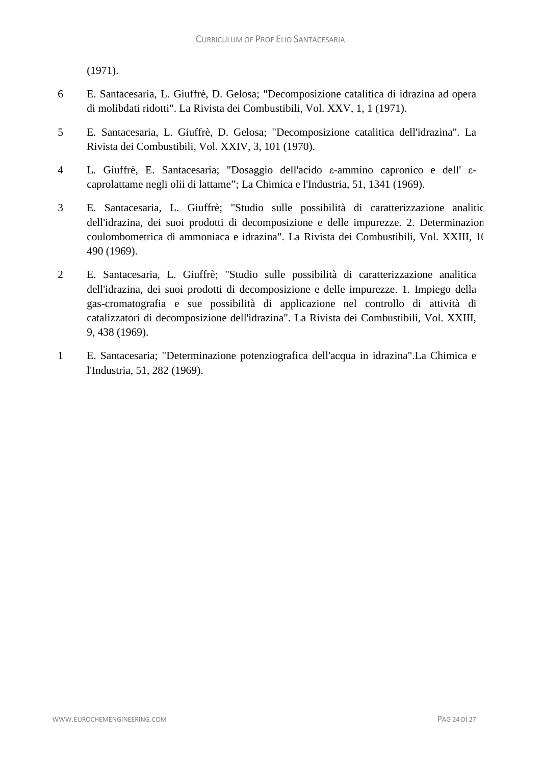(1971).

- 6 E. Santacesaria, L. Giuffrè, D. Gelosa; "Decomposizione catalitica di idrazina ad opera di molibdati ridotti". La Rivista dei Combustibili, Vol. XXV, 1, 1 (1971).
- 5 E. Santacesaria, L. Giuffrè, D. Gelosa; "Decomposizione catalitica dell'idrazina". La Rivista dei Combustibili, Vol. XXIV, 3, 101 (1970).
- 4 L. Giuffrè, E. Santacesaria; "Dosaggio dell'acido ε-ammino capronico e dell' εcaprolattame negli olii di lattame"; La Chimica e l'Industria, 51, 1341 (1969).
- 3 E. Santacesaria, L. Giuffrè; "Studio sulle possibilità di caratterizzazione analitic dell'idrazina, dei suoi prodotti di decomposizione e delle impurezze. 2. Determinazion coulombometrica di ammoniaca e idrazina". La Rivista dei Combustibili, Vol. XXIII, 10 490 (1969).
- 2 E. Santacesaria, L. Giuffrè; "Studio sulle possibilità di caratterizzazione analitica dell'idrazina, dei suoi prodotti di decomposizione e delle impurezze. 1. Impiego della gas-cromatografia e sue possibilità di applicazione nel controllo di attività di catalizzatori di decomposizione dell'idrazina". La Rivista dei Combustibili, Vol. XXIII, 9, 438 (1969).
- 1 E. Santacesaria; "Determinazione potenziografica dell'acqua in idrazina".La Chimica e l'Industria, 51, 282 (1969).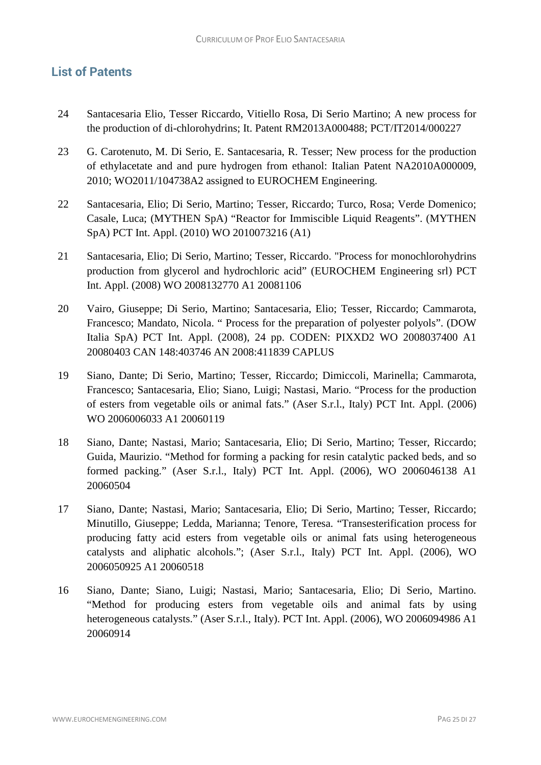# **List of Patents**

- 24 Santacesaria Elio, Tesser Riccardo, Vitiello Rosa, Di Serio Martino; A new process for the production of di-chlorohydrins; It. Patent RM2013A000488; PCT/IT2014/000227
- 23 G. Carotenuto, M. Di Serio, E. Santacesaria, R. Tesser; New process for the production of ethylacetate and and pure hydrogen from ethanol: Italian Patent NA2010A000009, 2010; WO2011/104738A2 assigned to EUROCHEM Engineering.
- 22 Santacesaria, Elio; Di Serio, Martino; Tesser, Riccardo; Turco, Rosa; Verde Domenico; Casale, Luca; (MYTHEN SpA) "Reactor for Immiscible Liquid Reagents". (MYTHEN SpA) PCT Int. Appl. (2010) WO 2010073216 (A1)
- 21 Santacesaria, Elio; Di Serio, Martino; Tesser, Riccardo. "Process for monochlorohydrins production from glycerol and hydrochloric acid" (EUROCHEM Engineering srl) PCT Int. Appl. (2008) WO 2008132770 A1 20081106
- 20 Vairo, Giuseppe; Di Serio, Martino; Santacesaria, Elio; Tesser, Riccardo; Cammarota, Francesco; Mandato, Nicola. " Process for the preparation of polyester polyols". (DOW Italia SpA) PCT Int. Appl. (2008), 24 pp. CODEN: PIXXD2 WO 2008037400 A1 20080403 CAN 148:403746 AN 2008:411839 CAPLUS
- 19 Siano, Dante; Di Serio, Martino; Tesser, Riccardo; Dimiccoli, Marinella; Cammarota, Francesco; Santacesaria, Elio; Siano, Luigi; Nastasi, Mario. "Process for the production of esters from vegetable oils or animal fats." (Aser S.r.l., Italy) PCT Int. Appl. (2006) WO 2006006033 A1 20060119
- 18 Siano, Dante; Nastasi, Mario; Santacesaria, Elio; Di Serio, Martino; Tesser, Riccardo; Guida, Maurizio. "Method for forming a packing for resin catalytic packed beds, and so formed packing." (Aser S.r.l., Italy) PCT Int. Appl. (2006), WO 2006046138 A1 20060504
- 17 Siano, Dante; Nastasi, Mario; Santacesaria, Elio; Di Serio, Martino; Tesser, Riccardo; Minutillo, Giuseppe; Ledda, Marianna; Tenore, Teresa. "Transesterification process for producing fatty acid esters from vegetable oils or animal fats using heterogeneous catalysts and aliphatic alcohols."; (Aser S.r.l., Italy) PCT Int. Appl. (2006), WO 2006050925 A1 20060518
- 16 Siano, Dante; Siano, Luigi; Nastasi, Mario; Santacesaria, Elio; Di Serio, Martino. "Method for producing esters from vegetable oils and animal fats by using heterogeneous catalysts." (Aser S.r.l., Italy). PCT Int. Appl. (2006), WO 2006094986 A1 20060914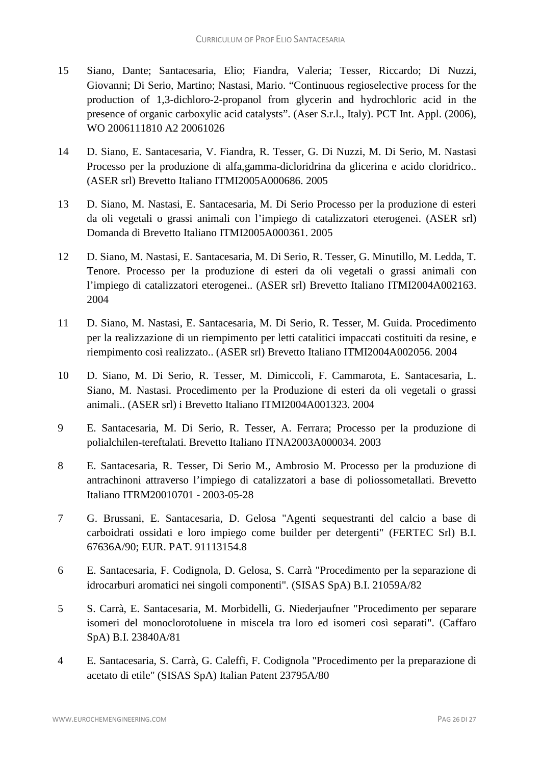- 15 Siano, Dante; Santacesaria, Elio; Fiandra, Valeria; Tesser, Riccardo; Di Nuzzi, Giovanni; Di Serio, Martino; Nastasi, Mario. "Continuous regioselective process for the production of 1,3-dichloro-2-propanol from glycerin and hydrochloric acid in the presence of organic carboxylic acid catalysts". (Aser S.r.l., Italy). PCT Int. Appl. (2006), WO 2006111810 A2 20061026
- 14 D. Siano, E. Santacesaria, V. Fiandra, R. Tesser, G. Di Nuzzi, M. Di Serio, M. Nastasi Processo per la produzione di alfa,gamma-dicloridrina da glicerina e acido cloridrico.. (ASER srl) Brevetto Italiano ITMI2005A000686. 2005
- 13 D. Siano, M. Nastasi, E. Santacesaria, M. Di Serio Processo per la produzione di esteri da oli vegetali o grassi animali con l'impiego di catalizzatori eterogenei. (ASER srl) Domanda di Brevetto Italiano ITMI2005A000361. 2005
- 12 D. Siano, M. Nastasi, E. Santacesaria, M. Di Serio, R. Tesser, G. Minutillo, M. Ledda, T. Tenore. Processo per la produzione di esteri da oli vegetali o grassi animali con l'impiego di catalizzatori eterogenei.. (ASER srl) Brevetto Italiano ITMI2004A002163. 2004
- 11 D. Siano, M. Nastasi, E. Santacesaria, M. Di Serio, R. Tesser, M. Guida. Procedimento per la realizzazione di un riempimento per letti catalitici impaccati costituiti da resine, e riempimento così realizzato.. (ASER srl) Brevetto Italiano ITMI2004A002056. 2004
- 10 D. Siano, M. Di Serio, R. Tesser, M. Dimiccoli, F. Cammarota, E. Santacesaria, L. Siano, M. Nastasi. Procedimento per la Produzione di esteri da oli vegetali o grassi animali.. (ASER srl) i Brevetto Italiano ITMI2004A001323. 2004
- 9 E. Santacesaria, M. Di Serio, R. Tesser, A. Ferrara; Processo per la produzione di polialchilen-tereftalati. Brevetto Italiano ITNA2003A000034. 2003
- 8 E. Santacesaria, R. Tesser, Di Serio M., Ambrosio M. Processo per la produzione di antrachinoni attraverso l'impiego di catalizzatori a base di poliossometallati. Brevetto Italiano ITRM20010701 - 2003-05-28
- 7 G. Brussani, E. Santacesaria, D. Gelosa "Agenti sequestranti del calcio a base di carboidrati ossidati e loro impiego come builder per detergenti" (FERTEC Srl) B.I. 67636A/90; EUR. PAT. 91113154.8
- 6 E. Santacesaria, F. Codignola, D. Gelosa, S. Carrà "Procedimento per la separazione di idrocarburi aromatici nei singoli componenti". (SISAS SpA) B.I. 21059A/82
- 5 S. Carrà, E. Santacesaria, M. Morbidelli, G. Niederjaufner "Procedimento per separare isomeri del monoclorotoluene in miscela tra loro ed isomeri così separati". (Caffaro SpA) B.I. 23840A/81
- 4 E. Santacesaria, S. Carrà, G. Caleffi, F. Codignola "Procedimento per la preparazione di acetato di etile" (SISAS SpA) Italian Patent 23795A/80